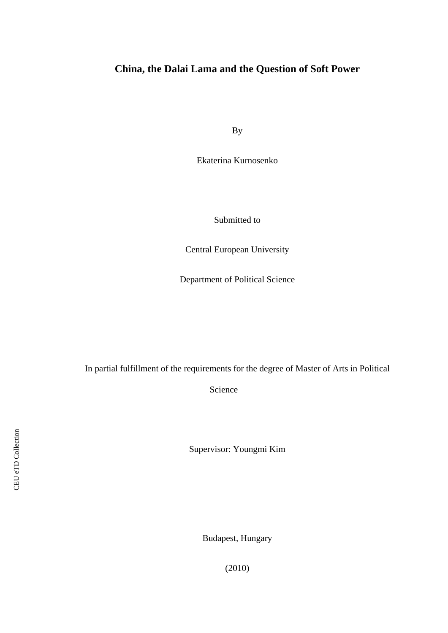# **China, the Dalai Lama and the Question of Soft Power**

By

Ekaterina Kurnosenko

Submitted to

Central European University

Department of Political Science

In partial fulfillment of the requirements for the degree of Master of Arts in Political

Science

Supervisor: Youngmi Kim

Budapest, Hungary

(2010)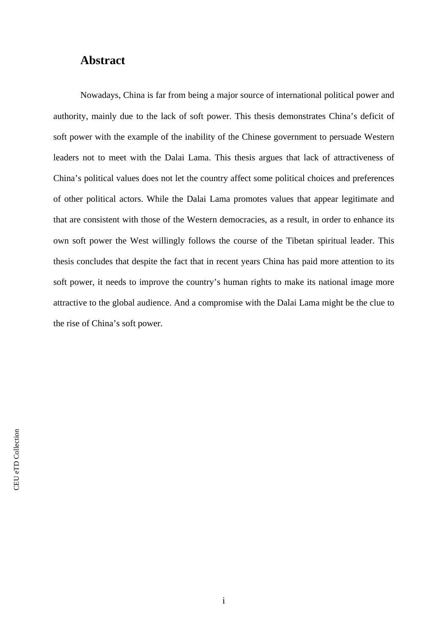# **Abstract**

<span id="page-1-0"></span>Nowadays, China is far from being a major source of international political power and authority, mainly due to the lack of soft power. This thesis demonstrates China's deficit of soft power with the example of the inability of the Chinese government to persuade Western leaders not to meet with the Dalai Lama. This thesis argues that lack of attractiveness of China's political values does not let the country affect some political choices and preferences of other political actors. While the Dalai Lama promotes values that appear legitimate and that are consistent with those of the Western democracies, as a result, in order to enhance its own soft power the West willingly follows the course of the Tibetan spiritual leader. This thesis concludes that despite the fact that in recent years China has paid more attention to its soft power, it needs to improve the country's human rights to make its national image more attractive to the global audience. And a compromise with the Dalai Lama might be the clue to the rise of China's soft power.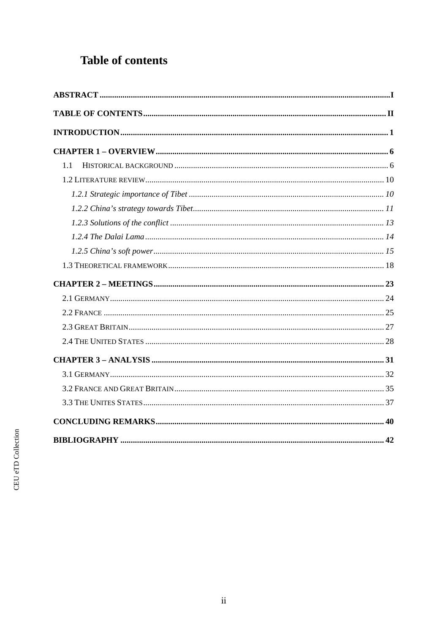# **Table of contents**

<span id="page-2-0"></span>

| 1.1 |
|-----|
|     |
|     |
|     |
|     |
|     |
|     |
|     |
|     |
|     |
|     |
|     |
|     |
|     |
|     |
|     |
|     |
|     |
|     |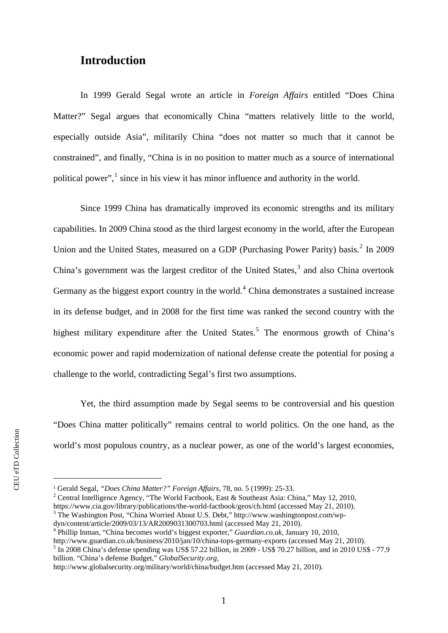# **Introduction**

<span id="page-3-0"></span>In 1999 Gerald Segal wrote an article in *Foreign Affairs* entitled "Does China Matter?" Segal argues that economically China "matters relatively little to the world, especially outside Asia", militarily China "does not matter so much that it cannot be constrained", and finally, "China is in no position to matter much as a source of international political power", $<sup>1</sup>$  $<sup>1</sup>$  $<sup>1</sup>$  since in his view it has minor influence and authority in the world.</sup>

Since 1999 China has dramatically improved its economic strengths and its military capabilities. In 2009 China stood as the third largest economy in the world, after the European Union and the United States, measured on a GDP (Purchasing Power Parity) basis.<sup>[2](#page-3-2)</sup> In 2009 China's government was the largest creditor of the United States, $3$  and also China overtook Germany as the biggest export country in the world. $4$  China demonstrates a sustained increase in its defense budget, and in 2008 for the first time was ranked the second country with the highest military expenditure after the United States.<sup>[5](#page-3-5)</sup> The enormous growth of China's economic power and rapid modernization of national defense create the potential for posing a challenge to the world, contradicting Segal's first two assumptions.

Yet, the third assumption made by Segal seems to be controversial and his question "Does China matter politically" remains central to world politics. On the one hand, as the world's most populous country, as a nuclear power, as one of the world's largest economies,

<span id="page-3-1"></span><sup>1</sup> Gerald Segal, *"Does China Matter?" Foreign Affairs*, 78, no. 5 (1999): 25-33. 2

<span id="page-3-2"></span><sup>&</sup>lt;sup>2</sup> Central Intelligence Agency, "The World Factbook, East & Southeast Asia: China," May 12, 2010, <https://www.cia.gov/library/publications/the-world-factbook/geos/ch.html> (accessed May 21, 2010). <sup>3</sup> The Washington Post, "China Worried About U.S. Debt," [http://www.washingtonpost.com/wp-](http://www.washingtonpost.com/wp-dyn/content/article/2009/03/13/AR2009031300703.html)

<span id="page-3-3"></span>[dyn/content/article/2009/03/13/AR2009031300703.html](http://www.washingtonpost.com/wp-dyn/content/article/2009/03/13/AR2009031300703.html) (accessed May 21, 2010). [4](http://www.washingtonpost.com/wp-dyn/content/article/2009/03/13/AR2009031300703.html)

<span id="page-3-4"></span>Phillip Inman, "China becomes world's biggest exporter," *Guardian.co.uk*, January 10, 2010,

<http://www.guardian.co.uk/business/2010/jan/10/china-tops-germany-exports> (accessed May 21, 2010).

<span id="page-3-5"></span> $\frac{5}{10}$  In 2008 China's defense spending was US\$ 57.22 billion, in 2009 - US\$ 70.27 billion, and in 2010 US\$ - 77.9 billion. "China's defense Budget," *GlobalSecurity.org*,

<http://www.globalsecurity.org/military/world/china/budget.htm>(accessed May 21, 2010).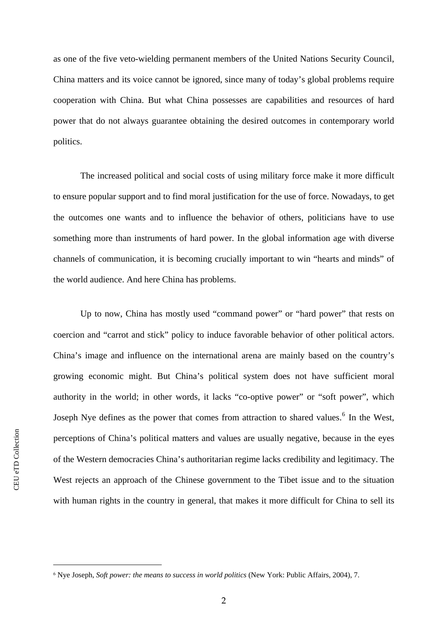as one of the five veto-wielding permanent members of the United Nations Security Council, China matters and its voice cannot be ignored, since many of today's global problems require cooperation with China. But what China possesses are capabilities and resources of hard power that do not always guarantee obtaining the desired outcomes in contemporary world politics.

The increased political and social costs of using military force make it more difficult to ensure popular support and to find moral justification for the use of force. Nowadays, to get the outcomes one wants and to influence the behavior of others, politicians have to use something more than instruments of hard power. In the global information age with diverse channels of communication, it is becoming crucially important to win "hearts and minds" of the world audience. And here China has problems.

Up to now, China has mostly used "command power" or "hard power" that rests on coercion and "carrot and stick" policy to induce favorable behavior of other political actors. China's image and influence on the international arena are mainly based on the country's growing economic might. But China's political system does not have sufficient moral authority in the world; in other words, it lacks "co-optive power" or "soft power", which Joseph Nye defines as the power that comes from attraction to shared values.<sup>[6](#page-4-0)</sup> In the West, perceptions of China's political matters and values are usually negative, because in the eyes of the Western democracies China's authoritarian regime lacks credibility and legitimacy. The West rejects an approach of the Chinese government to the Tibet issue and to the situation with human rights in the country in general, that makes it more difficult for China to sell its

<span id="page-4-0"></span><sup>6</sup> Nye Joseph, *Soft power: the means to success in world politics* (New York: Public Affairs, 2004), 7.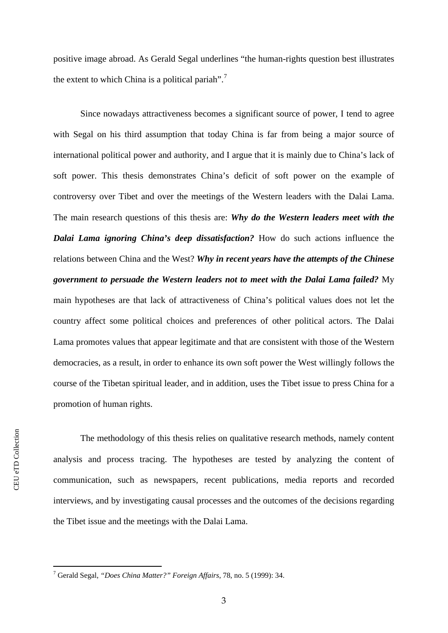positive image abroad. As Gerald Segal underlines "the human-rights question best illustrates the extent to which China is a political pariah".[7](#page-5-0)

Since nowadays attractiveness becomes a significant source of power, I tend to agree with Segal on his third assumption that today China is far from being a major source of international political power and authority, and I argue that it is mainly due to China's lack of soft power. This thesis demonstrates China's deficit of soft power on the example of controversy over Tibet and over the meetings of the Western leaders with the Dalai Lama. The main research questions of this thesis are: *Why do the Western leaders meet with the Dalai Lama ignoring China's deep dissatisfaction?* How do such actions influence the relations between China and the West? *Why in recent years have the attempts of the Chinese government to persuade the Western leaders not to meet with the Dalai Lama failed?* My main hypotheses are that lack of attractiveness of China's political values does not let the country affect some political choices and preferences of other political actors. The Dalai Lama promotes values that appear legitimate and that are consistent with those of the Western democracies, as a result, in order to enhance its own soft power the West willingly follows the course of the Tibetan spiritual leader, and in addition, uses the Tibet issue to press China for a promotion of human rights.

The methodology of this thesis relies on qualitative research methods, namely content analysis and process tracing. The hypotheses are tested by analyzing the content of communication, such as newspapers, recent publications, media reports and recorded interviews, and by investigating causal processes and the outcomes of the decisions regarding the Tibet issue and the meetings with the Dalai Lama.

<span id="page-5-0"></span> 7 Gerald Segal, *"Does China Matter?" Foreign Affairs*, 78, no. 5 (1999): 34.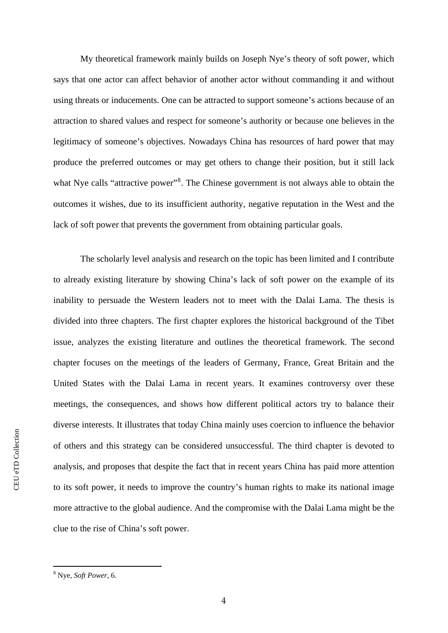My theoretical framework mainly builds on Joseph Nye's theory of soft power, which says that one actor can affect behavior of another actor without commanding it and without using threats or inducements. One can be attracted to support someone's actions because of an attraction to shared values and respect for someone's authority or because one believes in the legitimacy of someone's objectives. Nowadays China has resources of hard power that may produce the preferred outcomes or may get others to change their position, but it still lack what Nye calls "attractive power"<sup>[8](#page-6-0)</sup>. The Chinese government is not always able to obtain the outcomes it wishes, due to its insufficient authority, negative reputation in the West and the lack of soft power that prevents the government from obtaining particular goals.

The scholarly level analysis and research on the topic has been limited and I contribute to already existing literature by showing China's lack of soft power on the example of its inability to persuade the Western leaders not to meet with the Dalai Lama. The thesis is divided into three chapters. The first chapter explores the historical background of the Tibet issue, analyzes the existing literature and outlines the theoretical framework. The second chapter focuses on the meetings of the leaders of Germany, France, Great Britain and the United States with the Dalai Lama in recent years. It examines controversy over these meetings, the consequences, and shows how different political actors try to balance their diverse interests. It illustrates that today China mainly uses coercion to influence the behavior of others and this strategy can be considered unsuccessful. The third chapter is devoted to analysis, and proposes that despite the fact that in recent years China has paid more attention to its soft power, it needs to improve the country's human rights to make its national image more attractive to the global audience. And the compromise with the Dalai Lama might be the clue to the rise of China's soft power.

<span id="page-6-0"></span><sup>8</sup> Nye, *Soft Power*, 6.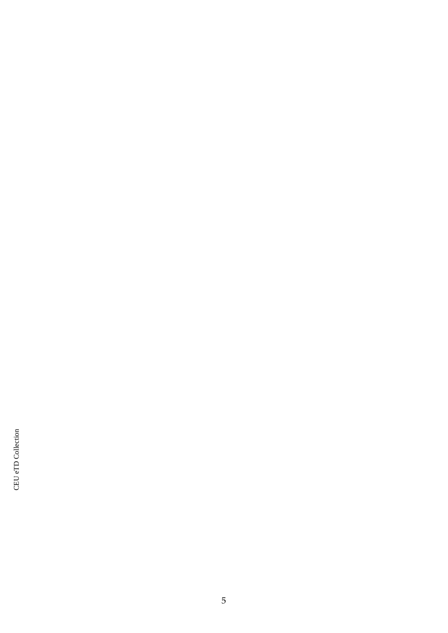CEU eTD Collection CEU eTD Collection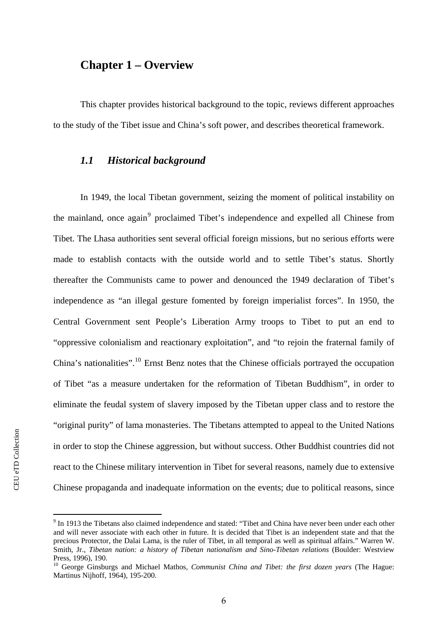# **Chapter 1 – Overview**

<span id="page-8-0"></span>This chapter provides historical background to the topic, reviews different approaches to the study of the Tibet issue and China's soft power, and describes theoretical framework.

### *1.1 Historical background*

<span id="page-8-1"></span>In 1949, the local Tibetan government, seizing the moment of political instability on the mainland, once again<sup>[9](#page-8-2)</sup> proclaimed Tibet's independence and expelled all Chinese from Tibet. The Lhasa authorities sent several official foreign missions, but no serious efforts were made to establish contacts with the outside world and to settle Tibet's status. Shortly thereafter the Communists came to power and denounced the 1949 declaration of Tibet's independence as "an illegal gesture fomented by foreign imperialist forces". In 1950, the Central Government sent People's Liberation Army troops to Tibet to put an end to "oppressive colonialism and reactionary exploitation", and "to rejoin the fraternal family of China's nationalities".[10](#page-8-3) Ernst Benz notes that the Chinese officials portrayed the occupation of Tibet "as a measure undertaken for the reformation of Tibetan Buddhism", in order to eliminate the feudal system of slavery imposed by the Tibetan upper class and to restore the "original purity" of lama monasteries. The Tibetans attempted to appeal to the United Nations in order to stop the Chinese aggression, but without success. Other Buddhist countries did not react to the Chinese military intervention in Tibet for several reasons, namely due to extensive Chinese propaganda and inadequate information on the events; due to political reasons, since

<span id="page-8-2"></span><sup>&</sup>lt;sup>9</sup> In 1913 the Tibetans also claimed independence and stated: "Tibet and China have never been under each other and will never associate with each other in future. It is decided that Tibet is an independent state and that the precious Protector, the Dalai Lama, is the ruler of Tibet, in all temporal as well as spiritual affairs." Warren W. Smith, Jr., *Tibetan nation: a history of Tibetan nationalism and Sino-Tibetan relations* (Boulder: Westview Press, 1996), 190.

<span id="page-8-3"></span><sup>&</sup>lt;sup>10</sup> George Ginsburgs and Michael Mathos, *Communist China and Tibet: the first dozen years* (The Hague: Martinus Nijhoff, 1964), 195-200.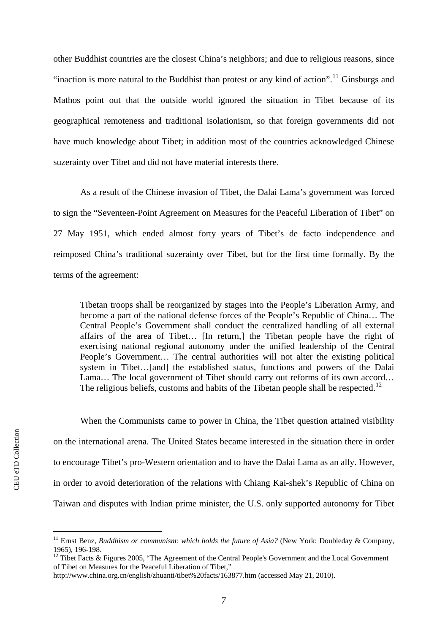other Buddhist countries are the closest China's neighbors; and due to religious reasons, since "inaction is more natural to the Buddhist than protest or any kind of action".<sup>[11](#page-9-0)</sup> Ginsburgs and Mathos point out that the outside world ignored the situation in Tibet because of its geographical remoteness and traditional isolationism, so that foreign governments did not have much knowledge about Tibet; in addition most of the countries acknowledged Chinese suzerainty over Tibet and did not have material interests there.

As a result of the Chinese invasion of Tibet, the Dalai Lama's government was forced to sign the "Seventeen-Point Agreement on Measures for the Peaceful Liberation of Tibet" on 27 May 1951, which ended almost forty years of Tibet's de facto independence and reimposed China's traditional suzerainty over Tibet, but for the first time formally. By the terms of the agreement:

Tibetan troops shall be reorganized by stages into the People's Liberation Army, and become a part of the national defense forces of the People's Republic of China… The Central People's Government shall conduct the centralized handling of all external affairs of the area of Tibet… [In return,] the Tibetan people have the right of exercising national regional autonomy under the unified leadership of the Central People's Government… The central authorities will not alter the existing political system in Tibet…[and] the established status, functions and powers of the Dalai Lama... The local government of Tibet should carry out reforms of its own accord... The religious beliefs, customs and habits of the Tibetan people shall be respected.<sup>[12](#page-9-1)</sup>

When the Communists came to power in China, the Tibet question attained visibility on the international arena. The United States became interested in the situation there in order to encourage Tibet's pro-Western orientation and to have the Dalai Lama as an ally. However, in order to avoid deterioration of the relations with Chiang Kai-shek's Republic of China on Taiwan and disputes with Indian prime minister, the U.S. only supported autonomy for Tibet

<span id="page-9-0"></span><sup>&</sup>lt;sup>11</sup> Ernst Benz, *Buddhism or communism: which holds the future of Asia?* (New York: Doubleday & Company, 1965), 196-198.

<span id="page-9-1"></span><sup>&</sup>lt;sup>12</sup> Tibet Facts & Figures 2005, "The Agreement of the Central People's Government and the Local Government of Tibet on Measures for the Peaceful Liberation of Tibet,"

<http://www.china.org.cn/english/zhuanti/tibet%20facts/163877.htm>(accessed May 21, 2010).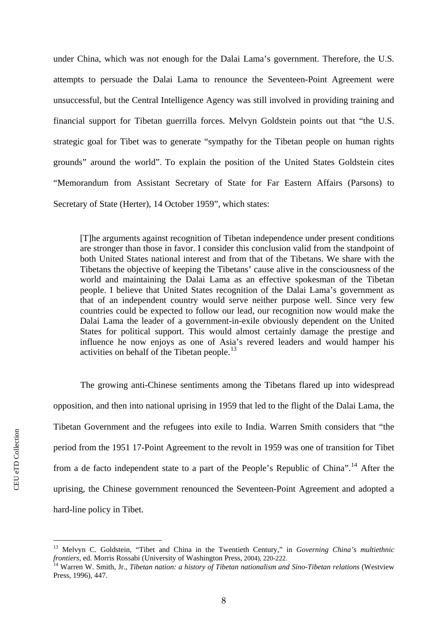under China, which was not enough for the Dalai Lama's government. Therefore, the U.S. attempts to persuade the Dalai Lama to renounce the Seventeen-Point Agreement were unsuccessful, but the Central Intelligence Agency was still involved in providing training and financial support for Tibetan guerrilla forces. Melvyn Goldstein points out that "the U.S. strategic goal for Tibet was to generate "sympathy for the Tibetan people on human rights grounds" around the world". To explain the position of the United States Goldstein cites "Memorandum from Assistant Secretary of State for Far Eastern Affairs (Parsons) to Secretary of State (Herter), 14 October 1959", which states:

[T]he arguments against recognition of Tibetan independence under present conditions are stronger than those in favor. I consider this conclusion valid from the standpoint of both United States national interest and from that of the Tibetans. We share with the Tibetans the objective of keeping the Tibetans' cause alive in the consciousness of the world and maintaining the Dalai Lama as an effective spokesman of the Tibetan people. I believe that United States recognition of the Dalai Lama's government as that of an independent country would serve neither purpose well. Since very few countries could be expected to follow our lead, our recognition now would make the Dalai Lama the leader of a government-in-exile obviously dependent on the United States for political support. This would almost certainly damage the prestige and influence he now enjoys as one of Asia's revered leaders and would hamper his activities on behalf of the Tibetan people.<sup>[13](#page-10-0)</sup>

The growing anti-Chinese sentiments among the Tibetans flared up into widespread opposition, and then into national uprising in 1959 that led to the flight of the Dalai Lama, the Tibetan Government and the refugees into exile to India. Warren Smith considers that "the period from the 1951 17-Point Agreement to the revolt in 1959 was one of transition for Tibet from a de facto independent state to a part of the People's Republic of China".<sup>[14](#page-10-1)</sup> After the uprising, the Chinese government renounced the Seventeen-Point Agreement and adopted a hard-line policy in Tibet.

<span id="page-10-0"></span><sup>13</sup> Melvyn C. Goldstein, "Tibet and China in the Twentieth Century," in *Governing China's multiethnic frontiers*, ed. Morris Rossabi (University of Washington Press, 2004), 220-222.<br><sup>14</sup> Warren W. Smith, Jr., *Tibetan nation: a history of Tibetan nationalism and Sino-Tibetan relations* (Westview

<span id="page-10-1"></span>Press, 1996), 447.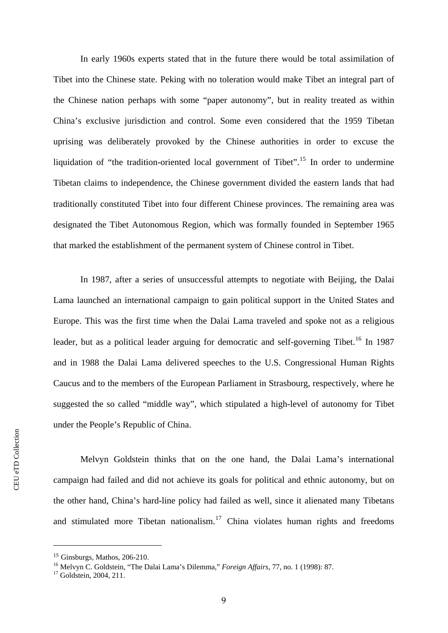In early 1960s experts stated that in the future there would be total assimilation of Tibet into the Chinese state. Peking with no toleration would make Tibet an integral part of the Chinese nation perhaps with some "paper autonomy", but in reality treated as within China's exclusive jurisdiction and control. Some even considered that the 1959 Tibetan uprising was deliberately provoked by the Chinese authorities in order to excuse the liquidation of "the tradition-oriented local government of Tibet".<sup>[15](#page-11-0)</sup> In order to undermine Tibetan claims to independence, the Chinese government divided the eastern lands that had traditionally constituted Tibet into four different Chinese provinces. The remaining area was designated the Tibet Autonomous Region, which was formally founded in September 1965 that marked the establishment of the permanent system of Chinese control in Tibet.

In 1987, after a series of unsuccessful attempts to negotiate with Beijing, the Dalai Lama launched an international campaign to gain political support in the United States and Europe. This was the first time when the Dalai Lama traveled and spoke not as a religious leader, but as a political leader arguing for democratic and self-governing Tibet.<sup>[16](#page-11-1)</sup> In 1987 and in 1988 the Dalai Lama delivered speeches to the U.S. Congressional Human Rights Caucus and to the members of the European Parliament in Strasbourg, respectively, where he suggested the so called "middle way", which stipulated a high-level of autonomy for Tibet under the People's Republic of China.

Melvyn Goldstein thinks that on the one hand, the Dalai Lama's international campaign had failed and did not achieve its goals for political and ethnic autonomy, but on the other hand, China's hard-line policy had failed as well, since it alienated many Tibetans and stimulated more Tibetan nationalism.<sup>[17](#page-11-2)</sup> China violates human rights and freedoms

<u> Andrew Maria (1995)</u>

<span id="page-11-0"></span><sup>15</sup> Ginsburgs, Mathos, 206-210.

<span id="page-11-2"></span><span id="page-11-1"></span><sup>&</sup>lt;sup>16</sup> Melvyn C. Goldstein, "The Dalai Lama's Dilemma," *Foreign Affairs*, 77, no. 1 (1998): 87.<br><sup>17</sup> Goldstein, 2004, 211.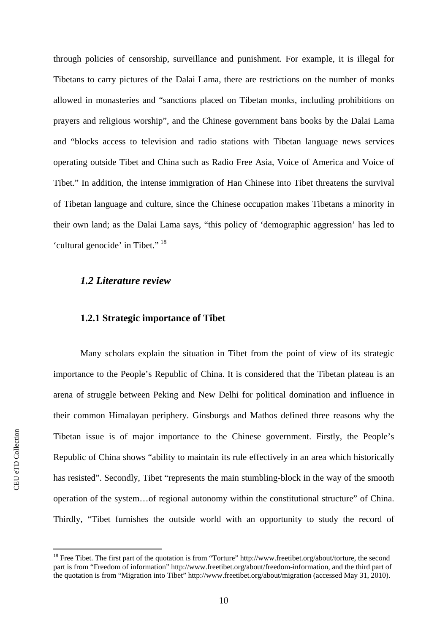through policies of censorship, surveillance and punishment. For example, it is illegal for Tibetans to carry pictures of the Dalai Lama, there are restrictions on the number of monks allowed in monasteries and "sanctions placed on Tibetan monks, including prohibitions on prayers and religious worship", and the Chinese government bans books by the Dalai Lama and "blocks access to television and radio stations with Tibetan language news services operating outside Tibet and China such as Radio Free Asia, Voice of America and Voice of Tibet." In addition, the intense immigration of Han Chinese into Tibet threatens the survival of Tibetan language and culture, since the Chinese occupation makes Tibetans a minority in their own land; as the Dalai Lama says, "this policy of 'demographic aggression' has led to 'cultural genocide' in Tibet." [18](#page-12-2)

#### <span id="page-12-0"></span>*1.2 Literature review*

#### **1.2.1 Strategic importance of Tibet**

<span id="page-12-1"></span>Many scholars explain the situation in Tibet from the point of view of its strategic importance to the People's Republic of China. It is considered that the Tibetan plateau is an arena of struggle between Peking and New Delhi for political domination and influence in their common Himalayan periphery. Ginsburgs and Mathos defined three reasons why the Tibetan issue is of major importance to the Chinese government. Firstly, the People's Republic of China shows "ability to maintain its rule effectively in an area which historically has resisted". Secondly, Tibet "represents the main stumbling-block in the way of the smooth operation of the system…of regional autonomy within the constitutional structure" of China. Thirdly, "Tibet furnishes the outside world with an opportunity to study the record of

<span id="page-12-2"></span><sup>&</sup>lt;sup>18</sup> Free Tibet. The first part of the quotation is from "Torture" [http://www.freetibet.org/about/torture,](http://www.freetibet.org/about/torture) the second part is from "Freedom of information" <http://www.freetibet.org/about/freedom-information>, and the third part of the quotation is from "Migration into Tibet"<http://www.freetibet.org/about/migration>(accessed May 31, 2010).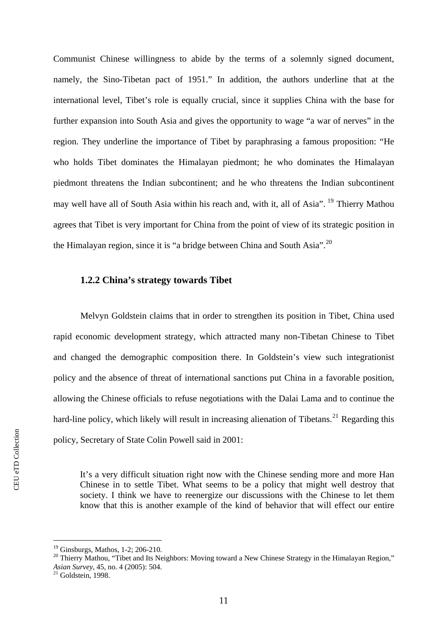Communist Chinese willingness to abide by the terms of a solemnly signed document, namely, the Sino-Tibetan pact of 1951." In addition, the authors underline that at the international level, Tibet's role is equally crucial, since it supplies China with the base for further expansion into South Asia and gives the opportunity to wage "a war of nerves" in the region. They underline the importance of Tibet by paraphrasing a famous proposition: "He who holds Tibet dominates the Himalayan piedmont; he who dominates the Himalayan piedmont threatens the Indian subcontinent; and he who threatens the Indian subcontinent may well have all of South Asia within his reach and, with it, all of Asia". <sup>[19](#page-13-1)</sup> Thierry Mathou agrees that Tibet is very important for China from the point of view of its strategic position in the Himalayan region, since it is "a bridge between China and South Asia".<sup>[20](#page-13-2)</sup>

#### **1.2.2 China's strategy towards Tibet**

<span id="page-13-0"></span>Melvyn Goldstein claims that in order to strengthen its position in Tibet, China used rapid economic development strategy, which attracted many non-Tibetan Chinese to Tibet and changed the demographic composition there. In Goldstein's view such integrationist policy and the absence of threat of international sanctions put China in a favorable position, allowing the Chinese officials to refuse negotiations with the Dalai Lama and to continue the hard-line policy, which likely will result in increasing alienation of Tibetans.<sup>[21](#page-13-3)</sup> Regarding this policy, Secretary of State Colin Powell said in 2001:

It's a very difficult situation right now with the Chinese sending more and more Han Chinese in to settle Tibet. What seems to be a policy that might well destroy that society. I think we have to reenergize our discussions with the Chinese to let them know that this is another example of the kind of behavior that will effect our entire

 <sup>19</sup> Ginsburgs, Mathos, 1-2; 206-210.

<span id="page-13-2"></span><span id="page-13-1"></span><sup>&</sup>lt;sup>20</sup> Thierry Mathou, "Tibet and Its Neighbors: Moving toward a New Chinese Strategy in the Himalayan Region," *Asian Survey*, 45, no. 4 (2005): 504.<br><sup>21</sup> Goldstein, 1998.

<span id="page-13-3"></span>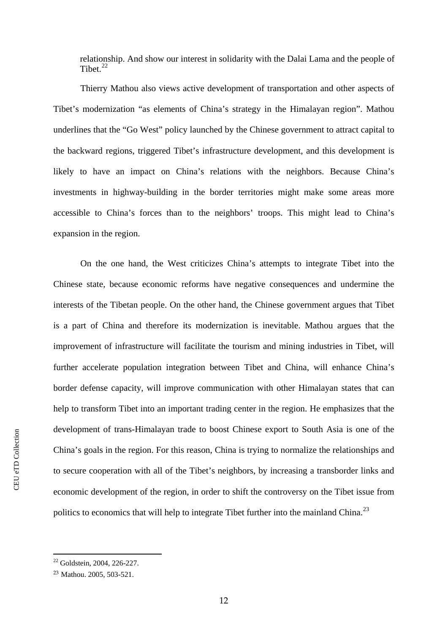relationship. And show our interest in solidarity with the Dalai Lama and the people of Tibet. $^{22}$  $^{22}$  $^{22}$ 

Thierry Mathou also views active development of transportation and other aspects of Tibet's modernization "as elements of China's strategy in the Himalayan region". Mathou underlines that the "Go West" policy launched by the Chinese government to attract capital to the backward regions, triggered Tibet's infrastructure development, and this development is likely to have an impact on China's relations with the neighbors. Because China's investments in highway-building in the border territories might make some areas more accessible to China's forces than to the neighbors' troops. This might lead to China's expansion in the region.

On the one hand, the West criticizes China's attempts to integrate Tibet into the Chinese state, because economic reforms have negative consequences and undermine the interests of the Tibetan people. On the other hand, the Chinese government argues that Tibet is a part of China and therefore its modernization is inevitable. Mathou argues that the improvement of infrastructure will facilitate the tourism and mining industries in Tibet, will further accelerate population integration between Tibet and China, will enhance China's border defense capacity, will improve communication with other Himalayan states that can help to transform Tibet into an important trading center in the region. He emphasizes that the development of trans-Himalayan trade to boost Chinese export to South Asia is one of the China's goals in the region. For this reason, China is trying to normalize the relationships and to secure cooperation with all of the Tibet's neighbors, by increasing a transborder links and economic development of the region, in order to shift the controversy on the Tibet issue from politics to economics that will help to integrate Tibet further into the mainland China.<sup>[23](#page-14-1)</sup>

<span id="page-14-0"></span><sup>&</sup>lt;sup>22</sup> Goldstein, 2004, 226-227.

<span id="page-14-1"></span><sup>23</sup> Mathou. 2005, 503-521.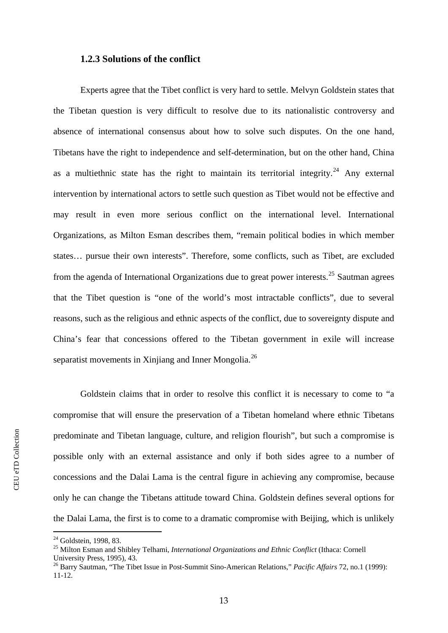#### **1.2.3 Solutions of the conflict**

<span id="page-15-0"></span>Experts agree that the Tibet conflict is very hard to settle. Melvyn Goldstein states that the Tibetan question is very difficult to resolve due to its nationalistic controversy and absence of international consensus about how to solve such disputes. On the one hand, Tibetans have the right to independence and self-determination, but on the other hand, China as a multiethnic state has the right to maintain its territorial integrity.<sup>[24](#page-15-1)</sup> Any external intervention by international actors to settle such question as Tibet would not be effective and may result in even more serious conflict on the international level. International Organizations, as Milton Esman describes them, "remain political bodies in which member states… pursue their own interests". Therefore, some conflicts, such as Tibet, are excluded from the agenda of International Organizations due to great power interests.<sup>[25](#page-15-2)</sup> Sautman agrees that the Tibet question is "one of the world's most intractable conflicts", due to several reasons, such as the religious and ethnic aspects of the conflict, due to sovereignty dispute and China's fear that concessions offered to the Tibetan government in exile will increase separatist movements in Xinjiang and Inner Mongolia.<sup>[26](#page-15-3)</sup>

Goldstein claims that in order to resolve this conflict it is necessary to come to "a compromise that will ensure the preservation of a Tibetan homeland where ethnic Tibetans predominate and Tibetan language, culture, and religion flourish", but such a compromise is possible only with an external assistance and only if both sides agree to a number of concessions and the Dalai Lama is the central figure in achieving any compromise, because only he can change the Tibetans attitude toward China. Goldstein defines several options for the Dalai Lama, the first is to come to a dramatic compromise with Beijing, which is unlikely

<span id="page-15-1"></span><sup>&</sup>lt;sup>24</sup> Goldstein, 1998, 83.

<span id="page-15-2"></span><sup>25</sup> Milton Esman and Shibley Telhami, *International Organizations and Ethnic Conflict* (Ithaca: Cornell University Press, 1995), 43.

<span id="page-15-3"></span><sup>26</sup> Barry Sautman, "The Tibet Issue in Post-Summit Sino-American Relations," *Pacific Affairs* 72, no.1 (1999): 11-12.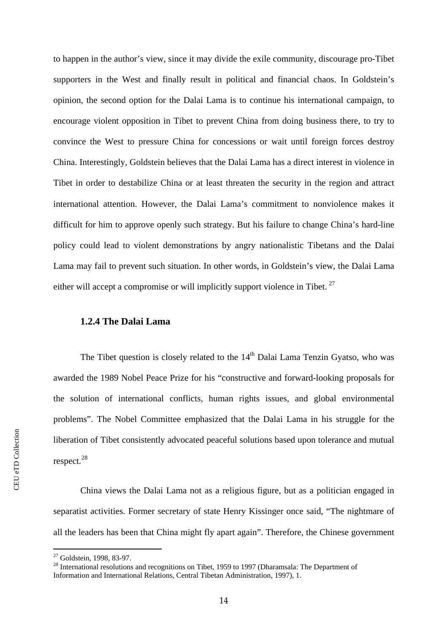to happen in the author's view, since it may divide the exile community, discourage pro-Tibet supporters in the West and finally result in political and financial chaos. In Goldstein's opinion, the second option for the Dalai Lama is to continue his international campaign, to encourage violent opposition in Tibet to prevent China from doing business there, to try to convince the West to pressure China for concessions or wait until foreign forces destroy China. Interestingly, Goldstein believes that the Dalai Lama has a direct interest in violence in Tibet in order to destabilize China or at least threaten the security in the region and attract international attention. However, the Dalai Lama's commitment to nonviolence makes it difficult for him to approve openly such strategy. But his failure to change China's hard-line policy could lead to violent demonstrations by angry nationalistic Tibetans and the Dalai Lama may fail to prevent such situation. In other words, in Goldstein's view, the Dalai Lama either will accept a compromise or will implicitly support violence in Tibet.  $27$ 

#### **1.2.4 The Dalai Lama**

<span id="page-16-0"></span>The Tibet question is closely related to the  $14<sup>th</sup>$  Dalai Lama Tenzin Gyatso, who was awarded the 1989 Nobel Peace Prize for his "constructive and forward-looking proposals for the solution of international conflicts, human rights issues, and global environmental problems". The Nobel Committee emphasized that the Dalai Lama in his struggle for the liberation of Tibet consistently advocated peaceful solutions based upon tolerance and mutual respect.<sup>[28](#page-16-2)</sup>

China views the Dalai Lama not as a religious figure, but as a politician engaged in separatist activities. Former secretary of state Henry Kissinger once said, "The nightmare of all the leaders has been that China might fly apart again". Therefore, the Chinese government

<span id="page-16-1"></span><sup>27</sup> Goldstein, 1998, 83-97.

<span id="page-16-2"></span><sup>&</sup>lt;sup>28</sup> International resolutions and recognitions on Tibet, 1959 to 1997 (Dharamsala: The Department of Information and International Relations, Central Tibetan Administration, 1997), 1.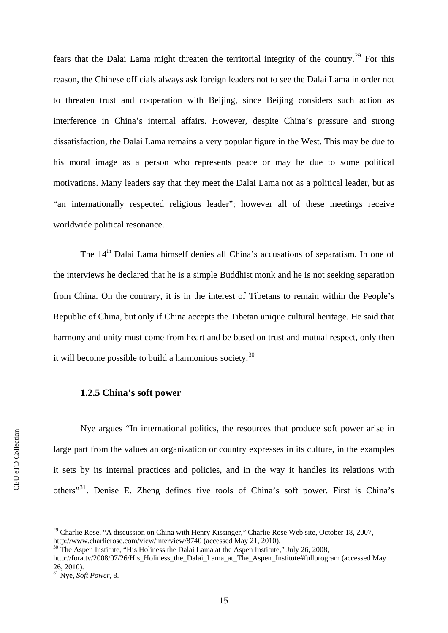fears that the Dalai Lama might threaten the territorial integrity of the country.<sup>[29](#page-17-1)</sup> For this reason, the Chinese officials always ask foreign leaders not to see the Dalai Lama in order not to threaten trust and cooperation with Beijing, since Beijing considers such action as interference in China's internal affairs. However, despite China's pressure and strong dissatisfaction, the Dalai Lama remains a very popular figure in the West. This may be due to his moral image as a person who represents peace or may be due to some political motivations. Many leaders say that they meet the Dalai Lama not as a political leader, but as "an internationally respected religious leader"; however all of these meetings receive worldwide political resonance.

The 14th Dalai Lama himself denies all China's accusations of separatism. In one of the interviews he declared that he is a simple Buddhist monk and he is not seeking separation from China. On the contrary, it is in the interest of Tibetans to remain within the People's Republic of China, but only if China accepts the Tibetan unique cultural heritage. He said that harmony and unity must come from heart and be based on trust and mutual respect, only then it will become possible to build a harmonious society.<sup>[30](#page-17-2)</sup>

#### **1.2.5 China's soft power**

<span id="page-17-0"></span>Nye argues "In international politics, the resources that produce soft power arise in large part from the values an organization or country expresses in its culture, in the examples it sets by its internal practices and policies, and in the way it handles its relations with others"[31](#page-17-3). Denise E. Zheng defines five tools of China's soft power. First is China's

<span id="page-17-1"></span><sup>&</sup>lt;sup>29</sup> Charlie Rose, "A discussion on China with Henry Kissinger," Charlie Rose Web site, October 18, 2007, http://www.charlierose.com/view/interview/8740 (accessed May 21, 2010).

<span id="page-17-2"></span> $\frac{30}{30}$  $\frac{30}{30}$  $\frac{30}{30}$  The Aspen Institute, "His Holiness the Dalai Lama at the Aspen Institute," July 26, 2008,

[http://fora.tv/2008/07/26/His\\_Holiness\\_the\\_Dalai\\_Lama\\_at\\_The\\_Aspen\\_Institute#fullprogram](http://fora.tv/2008/07/26/His_Holiness_the_Dalai_Lama_at_The_Aspen_Institute#fullprogram) (accessed May 26, 2010). 31 Nye, *Soft Power,* 8.

<span id="page-17-3"></span>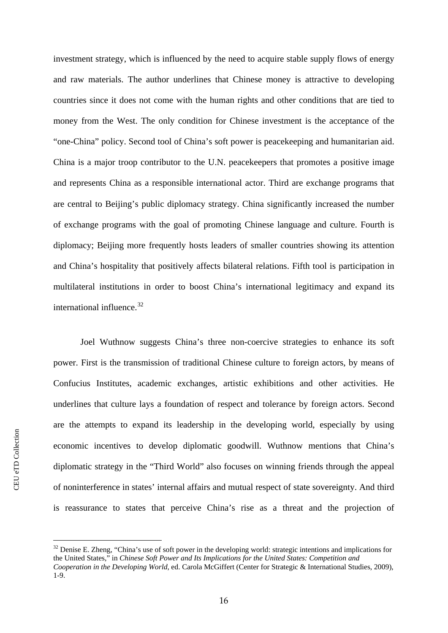investment strategy, which is influenced by the need to acquire stable supply flows of energy and raw materials. The author underlines that Chinese money is attractive to developing countries since it does not come with the human rights and other conditions that are tied to money from the West. The only condition for Chinese investment is the acceptance of the "one-China" policy. Second tool of China's soft power is peacekeeping and humanitarian aid. China is a major troop contributor to the U.N. peacekeepers that promotes a positive image and represents China as a responsible international actor. Third are exchange programs that are central to Beijing's public diplomacy strategy. China significantly increased the number of exchange programs with the goal of promoting Chinese language and culture. Fourth is diplomacy; Beijing more frequently hosts leaders of smaller countries showing its attention and China's hospitality that positively affects bilateral relations. Fifth tool is participation in multilateral institutions in order to boost China's international legitimacy and expand its international influence. $32$ 

Joel Wuthnow suggests China's three non-coercive strategies to enhance its soft power. First is the transmission of traditional Chinese culture to foreign actors, by means of Confucius Institutes, academic exchanges, artistic exhibitions and other activities. He underlines that culture lays a foundation of respect and tolerance by foreign actors. Second are the attempts to expand its leadership in the developing world, especially by using economic incentives to develop diplomatic goodwill. Wuthnow mentions that China's diplomatic strategy in the "Third World" also focuses on winning friends through the appeal of noninterference in states' internal affairs and mutual respect of state sovereignty. And third is reassurance to states that perceive China's rise as a threat and the projection of

<span id="page-18-0"></span> $32$  Denise E. Zheng, "China's use of soft power in the developing world: strategic intentions and implications for the United States," in *Chinese Soft Power and Its Implications for the United States: Competition and Cooperation in the Developing World*, ed. Carola McGiffert (Center for Strategic & International Studies, 2009),

<sup>1-9.</sup>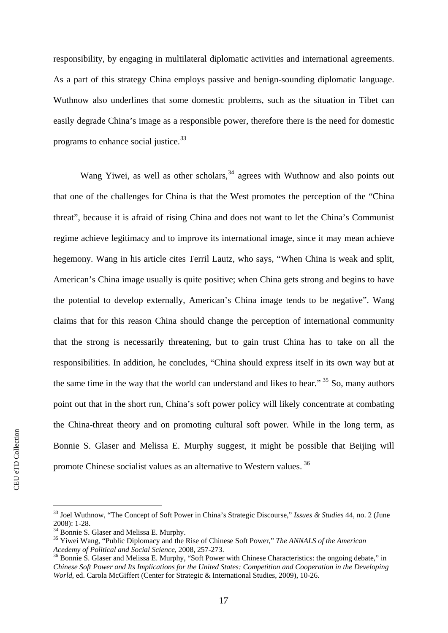responsibility, by engaging in multilateral diplomatic activities and international agreements. As a part of this strategy China employs passive and benign-sounding diplomatic language. Wuthnow also underlines that some domestic problems, such as the situation in Tibet can easily degrade China's image as a responsible power, therefore there is the need for domestic programs to enhance social justice.<sup>[33](#page-19-0)</sup>

Wang Yiwei, as well as other scholars,  $34$  agrees with Wuthnow and also points out that one of the challenges for China is that the West promotes the perception of the "China threat", because it is afraid of rising China and does not want to let the China's Communist regime achieve legitimacy and to improve its international image, since it may mean achieve hegemony. Wang in his article cites Terril Lautz, who says, "When China is weak and split, American's China image usually is quite positive; when China gets strong and begins to have the potential to develop externally, American's China image tends to be negative". Wang claims that for this reason China should change the perception of international community that the strong is necessarily threatening, but to gain trust China has to take on all the responsibilities. In addition, he concludes, "China should express itself in its own way but at the same time in the way that the world can understand and likes to hear."  $35$  So, many authors point out that in the short run, China's soft power policy will likely concentrate at combating the China-threat theory and on promoting cultural soft power. While in the long term, as Bonnie S. Glaser and Melissa E. Murphy suggest, it might be possible that Beijing will promote Chinese socialist values as an alternative to Western values. [36](#page-19-3)

<span id="page-19-0"></span><sup>33</sup> Joel Wuthnow, "The Concept of Soft Power in China's Strategic Discourse," *Issues & Studies* 44, no. 2 (June 2008): 1-28.

<span id="page-19-1"></span><sup>&</sup>lt;sup>34</sup> Bonnie S. Glaser and Melissa E. Murphy.

<span id="page-19-2"></span><sup>&</sup>lt;sup>35</sup> Yiwei Wang, "Public Diplomacy and the Rise of Chinese Soft Power," *The ANNALS of the American Acedemy of Political and Social Science*, 2008, 257-273.

<span id="page-19-3"></span><sup>&</sup>lt;sup>36</sup> Bonnie S. Glaser and Melissa E. Murphy, "Soft Power with Chinese Characteristics: the ongoing debate," in *Chinese Soft Power and Its Implications for the United States: Competition and Cooperation in the Developing World*, ed. Carola McGiffert (Center for Strategic & International Studies, 2009), 10-26.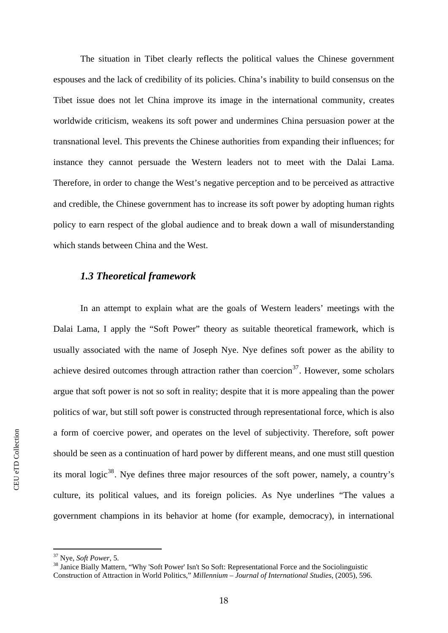The situation in Tibet clearly reflects the political values the Chinese government espouses and the lack of credibility of its policies. China's inability to build consensus on the Tibet issue does not let China improve its image in the international community, creates worldwide criticism, weakens its soft power and undermines China persuasion power at the transnational level. This prevents the Chinese authorities from expanding their influences; for instance they cannot persuade the Western leaders not to meet with the Dalai Lama. Therefore, in order to change the West's negative perception and to be perceived as attractive and credible, the Chinese government has to increase its soft power by adopting human rights policy to earn respect of the global audience and to break down a wall of misunderstanding which stands between China and the West.

### *1.3 Theoretical framework*

<span id="page-20-0"></span>In an attempt to explain what are the goals of Western leaders' meetings with the Dalai Lama, I apply the "Soft Power" theory as suitable theoretical framework, which is usually associated with the name of Joseph Nye. Nye defines soft power as the ability to achieve desired outcomes through attraction rather than coercion  $37$ . However, some scholars argue that soft power is not so soft in reality; despite that it is more appealing than the power politics of war, but still soft power is constructed through representational force, which is also a form of coercive power, and operates on the level of subjectivity. Therefore, soft power should be seen as a continuation of hard power by different means, and one must still question its moral logic<sup>[38](#page-20-2)</sup>. Nye defines three major resources of the soft power, namely, a country's culture, its political values, and its foreign policies. As Nye underlines "The values a government champions in its behavior at home (for example, democracy), in international

<span id="page-20-2"></span><span id="page-20-1"></span><sup>&</sup>lt;sup>37</sup> Nye, *Soft Power*, 5.<br><sup>38</sup> Janice Bially Mattern, "Why 'Soft Power' Isn't So Soft: Representational Force and the Sociolinguistic Construction of Attraction in World Politics," *Millennium – Journal of International Studies*, (2005), 596.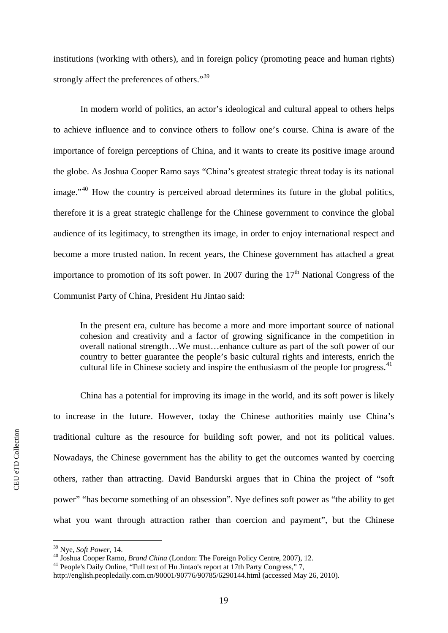institutions (working with others), and in foreign policy (promoting peace and human rights) strongly affect the preferences of others."<sup>[39](#page-21-0)</sup>

In modern world of politics, an actor's ideological and cultural appeal to others helps to achieve influence and to convince others to follow one's course. China is aware of the importance of foreign perceptions of China, and it wants to create its positive image around the globe. As Joshua Cooper Ramo says "China's greatest strategic threat today is its national image."<sup>[40](#page-21-1)</sup> How the country is perceived abroad determines its future in the global politics, therefore it is a great strategic challenge for the Chinese government to convince the global audience of its legitimacy, to strengthen its image, in order to enjoy international respect and become a more trusted nation. In recent years, the Chinese government has attached a great importance to promotion of its soft power. In 2007 during the  $17<sup>th</sup>$  National Congress of the Communist Party of China, President Hu Jintao said:

In the present era, culture has become a more and more important source of national cohesion and creativity and a factor of growing significance in the competition in overall national strength…We must…enhance culture as part of the soft power of our country to better guarantee the people's basic cultural rights and interests, enrich the cultural life in Chinese society and inspire the enthusiasm of the people for progress.<sup>[41](#page-21-2)</sup>

China has a potential for improving its image in the world, and its soft power is likely to increase in the future. However, today the Chinese authorities mainly use China's traditional culture as the resource for building soft power, and not its political values. Nowadays, the Chinese government has the ability to get the outcomes wanted by coercing others, rather than attracting. David Bandurski argues that in China the project of "soft power" "has become something of an obsession". Nye defines soft power as "the ability to get what you want through attraction rather than coercion and payment", but the Chinese

<span id="page-21-1"></span><span id="page-21-0"></span><sup>&</sup>lt;sup>39</sup> Nye, *Soft Power*, 14.<br><sup>40</sup> Joshua Cooper Ramo, *Brand China* (London: The Foreign Policy Centre, 2007), 12.<br><sup>41</sup> People's Daily Online, "Full text of Hu Jintao's report at 17th Party Congress," 7,

<span id="page-21-2"></span><http://english.peopledaily.com.cn/90001/90776/90785/6290144.html> (accessed May 26, 2010).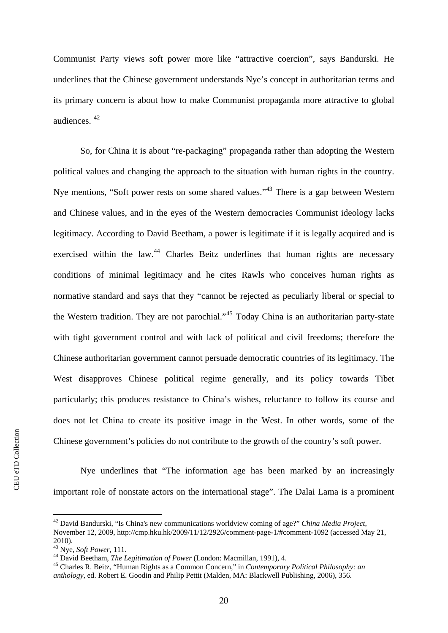Communist Party views soft power more like "attractive coercion", says Bandurski. He underlines that the Chinese government understands Nye's concept in authoritarian terms and its primary concern is about how to make Communist propaganda more attractive to global audiences. [42](#page-22-0)

So, for China it is about "re-packaging" propaganda rather than adopting the Western political values and changing the approach to the situation with human rights in the country. Nye mentions, "Soft power rests on some shared values."<sup>[43](#page-22-1)</sup> There is a gap between Western and Chinese values, and in the eyes of the Western democracies Communist ideology lacks legitimacy. According to David Beetham, a power is legitimate if it is legally acquired and is exercised within the law.<sup>[44](#page-22-2)</sup> Charles Beitz underlines that human rights are necessary conditions of minimal legitimacy and he cites Rawls who conceives human rights as normative standard and says that they "cannot be rejected as peculiarly liberal or special to the Western tradition. They are not parochial."<sup>[45](#page-22-3)</sup> Today China is an authoritarian party-state with tight government control and with lack of political and civil freedoms; therefore the Chinese authoritarian government cannot persuade democratic countries of its legitimacy. The West disapproves Chinese political regime generally, and its policy towards Tibet particularly; this produces resistance to China's wishes, reluctance to follow its course and does not let China to create its positive image in the West. In other words, some of the Chinese government's policies do not contribute to the growth of the country's soft power.

Nye underlines that "The information age has been marked by an increasingly important role of nonstate actors on the international stage". The Dalai Lama is a prominent

<span id="page-22-0"></span><sup>42</sup> David Bandurski, "Is China's new communications worldview coming of age?" *China Media Project*, November 12, 2009, <http://cmp.hku.hk/2009/11/12/2926/comment-page-1/#comment-1092>(accessed May 21, 2010).<br><sup>43</sup> Nve. Soft Power, 111.

<span id="page-22-3"></span><span id="page-22-2"></span><span id="page-22-1"></span><sup>&</sup>lt;sup>44</sup> David Beetham, *The Legitimation of Power* (London: Macmillan, 1991), 4.<br><sup>45</sup> Charles R. Beitz, "Human Rights as a Common Concern," in *Contemporary Political Philosophy: an anthology,* ed. Robert E. Goodin and Philip Pettit (Malden, MA: Blackwell Publishing, 2006), 356.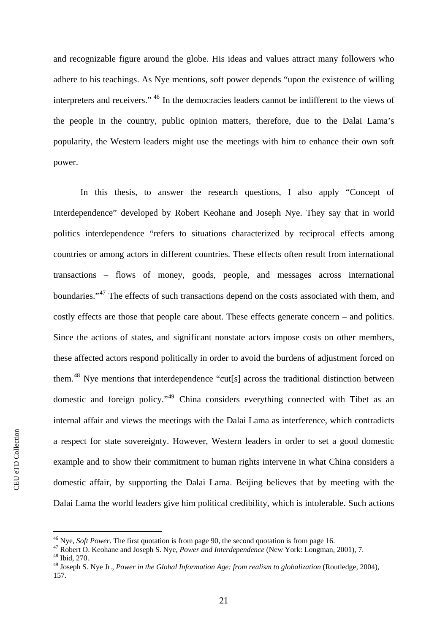and recognizable figure around the globe. His ideas and values attract many followers who adhere to his teachings. As Nye mentions, soft power depends "upon the existence of willing interpreters and receivers." [46](#page-23-0) In the democracies leaders cannot be indifferent to the views of the people in the country, public opinion matters, therefore, due to the Dalai Lama's popularity, the Western leaders might use the meetings with him to enhance their own soft power.

In this thesis, to answer the research questions, I also apply "Concept of Interdependence" developed by Robert Keohane and Joseph Nye. They say that in world politics interdependence "refers to situations characterized by reciprocal effects among countries or among actors in different countries. These effects often result from international transactions – flows of money, goods, people, and messages across international boundaries."[47](#page-23-1) The effects of such transactions depend on the costs associated with them, and costly effects are those that people care about. These effects generate concern – and politics. Since the actions of states, and significant nonstate actors impose costs on other members, these affected actors respond politically in order to avoid the burdens of adjustment forced on them.[48](#page-23-2) Nye mentions that interdependence "cut[s] across the traditional distinction between domestic and foreign policy."[49](#page-23-3) China considers everything connected with Tibet as an internal affair and views the meetings with the Dalai Lama as interference, which contradicts a respect for state sovereignty. However, Western leaders in order to set a good domestic example and to show their commitment to human rights intervene in what China considers a domestic affair, by supporting the Dalai Lama. Beijing believes that by meeting with the Dalai Lama the world leaders give him political credibility, which is intolerable. Such actions

<span id="page-23-0"></span><sup>&</sup>lt;sup>46</sup> Nve. *Soft Power*. The first quotation is from page 90, the second quotation is from page 16.

<span id="page-23-1"></span><sup>47</sup> Robert O. Keohane and Joseph S. Nye, *Power and Interdependence* (New York: Longman, 2001), 7. 48 Ibid, 270.

<span id="page-23-3"></span><span id="page-23-2"></span><sup>49</sup> Joseph S. Nye Jr., *Power in the Global Information Age: from realism to globalization* (Routledge, 2004), 157.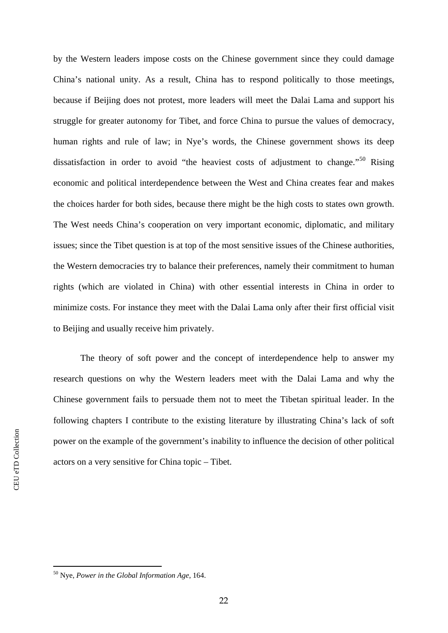by the Western leaders impose costs on the Chinese government since they could damage China's national unity. As a result, China has to respond politically to those meetings, because if Beijing does not protest, more leaders will meet the Dalai Lama and support his struggle for greater autonomy for Tibet, and force China to pursue the values of democracy, human rights and rule of law; in Nye's words, the Chinese government shows its deep dissatisfaction in order to avoid "the heaviest costs of adjustment to change."<sup>[50](#page-24-0)</sup> Rising economic and political interdependence between the West and China creates fear and makes the choices harder for both sides, because there might be the high costs to states own growth. The West needs China's cooperation on very important economic, diplomatic, and military issues; since the Tibet question is at top of the most sensitive issues of the Chinese authorities, the Western democracies try to balance their preferences, namely their commitment to human rights (which are violated in China) with other essential interests in China in order to minimize costs. For instance they meet with the Dalai Lama only after their first official visit to Beijing and usually receive him privately.

The theory of soft power and the concept of interdependence help to answer my research questions on why the Western leaders meet with the Dalai Lama and why the Chinese government fails to persuade them not to meet the Tibetan spiritual leader. In the following chapters I contribute to the existing literature by illustrating China's lack of soft power on the example of the government's inability to influence the decision of other political actors on a very sensitive for China topic – Tibet.

<span id="page-24-0"></span><sup>50</sup> Nye, *Power in the Global Information Age*, 164.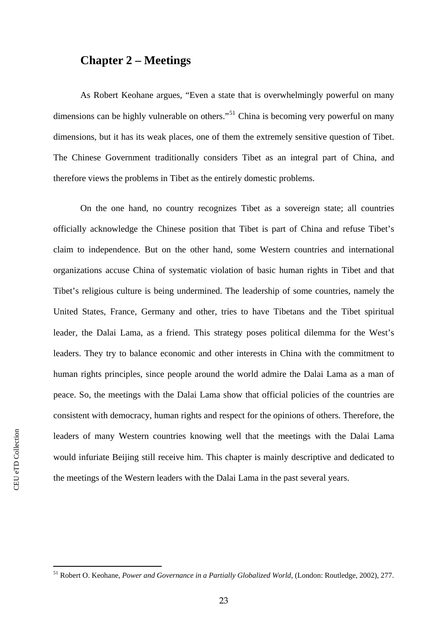# **Chapter 2 – Meetings**

<span id="page-25-0"></span>As Robert Keohane argues, "Even a state that is overwhelmingly powerful on many dimensions can be highly vulnerable on others."<sup>[51](#page-25-1)</sup> China is becoming very powerful on many dimensions, but it has its weak places, one of them the extremely sensitive question of Tibet. The Chinese Government traditionally considers Tibet as an integral part of China, and therefore views the problems in Tibet as the entirely domestic problems.

On the one hand, no country recognizes Tibet as a sovereign state; all countries officially acknowledge the Chinese position that Tibet is part of China and refuse Tibet's claim to independence. But on the other hand, some Western countries and international organizations accuse China of systematic violation of basic human rights in Tibet and that Tibet's religious culture is being undermined. The leadership of some countries, namely the United States, France, Germany and other, tries to have Tibetans and the Tibet spiritual leader, the Dalai Lama, as a friend. This strategy poses political dilemma for the West's leaders. They try to balance economic and other interests in China with the commitment to human rights principles, since people around the world admire the Dalai Lama as a man of peace. So, the meetings with the Dalai Lama show that official policies of the countries are consistent with democracy, human rights and respect for the opinions of others. Therefore, the leaders of many Western countries knowing well that the meetings with the Dalai Lama would infuriate Beijing still receive him. This chapter is mainly descriptive and dedicated to the meetings of the Western leaders with the Dalai Lama in the past several years.

<span id="page-25-1"></span><sup>51</sup> Robert O. Keohane, *Power and Governance in a Partially Globalized World*, (London: Routledge, 2002), 277.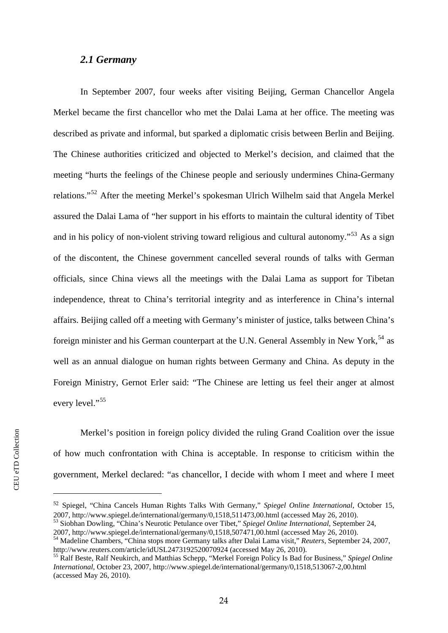### *2.1 Germany*

<u> Andrew Maria (1989)</u>

<span id="page-26-0"></span>In September 2007, four weeks after visiting Beijing, German Chancellor Angela Merkel became the first chancellor who met the Dalai Lama at her office. The meeting was described as private and informal, but sparked a diplomatic crisis between Berlin and Beijing. The Chinese authorities criticized and objected to Merkel's decision, and claimed that the meeting "hurts the feelings of the Chinese people and seriously undermines China-Germany relations."[52](#page-26-1) After the meeting Merkel's spokesman Ulrich Wilhelm said that Angela Merkel assured the Dalai Lama of "her support in his efforts to maintain the cultural identity of Tibet and in his policy of non-violent striving toward religious and cultural autonomy.<sup>5[53](#page-26-2)</sup> As a sign of the discontent, the Chinese government cancelled several rounds of talks with German officials, since China views all the meetings with the Dalai Lama as support for Tibetan independence, threat to China's territorial integrity and as interference in China's internal affairs. Beijing called off a meeting with Germany's minister of justice, talks between China's foreign minister and his German counterpart at the U.N. General Assembly in New York,<sup>[54](#page-26-3)</sup> as well as an annual dialogue on human rights between Germany and China. As deputy in the Foreign Ministry, Gernot Erler said: "The Chinese are letting us feel their anger at almost every level."<sup>[55](#page-26-4)</sup>

Merkel's position in foreign policy divided the ruling Grand Coalition over the issue of how much confrontation with China is acceptable. In response to criticism within the government, Merkel declared: "as chancellor, I decide with whom I meet and where I meet

<span id="page-26-1"></span><sup>52</sup> Spiegel, "China Cancels Human Rights Talks With Germany," *Spiegel Online International,* October 15, 2007, <http://www.spiegel.de/international/germany/0,1518,511473,00.html> (accessed May 26, 2010). 53 Siobhan Dowling, "China's Neurotic Petulance over Tibet," *Spiegel Online International*, September 24,

<span id="page-26-2"></span>

<span id="page-26-3"></span><sup>2007,</sup> <http://www.spiegel.de/international/germany/0,1518,507471,00.html> (accessed May 26, 2010). 54 Madeline Chambers, "China stops more Germany talks after Dalai Lama visit," *Reuters*, September 24, 2007,

<span id="page-26-4"></span><sup>&</sup>lt;sup>[55](http://www.reuters.com/article/idUSL2473192520070924)</sup> Ralf Beste, Ralf Neukirch, and Matthias Schepp, "Merkel Foreign Policy Is Bad for Business," *Spiegel Online International,* October 23, 2007,<http://www.spiegel.de/international/germany/0,1518,513067-2,00.html> (accessed May 26, 2010).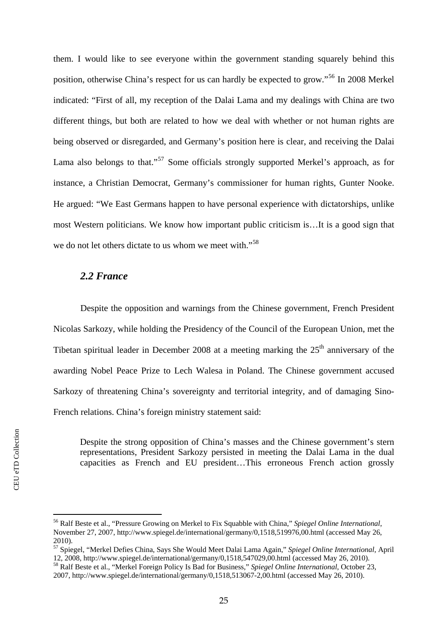them. I would like to see everyone within the government standing squarely behind this position, otherwise China's respect for us can hardly be expected to grow."[56](#page-27-1) In 2008 Merkel indicated: "First of all, my reception of the Dalai Lama and my dealings with China are two different things, but both are related to how we deal with whether or not human rights are being observed or disregarded, and Germany's position here is clear, and receiving the Dalai Lama also belongs to that."<sup>[57](#page-27-2)</sup> Some officials strongly supported Merkel's approach, as for instance, a Christian Democrat, Germany's commissioner for human rights, Gunter Nooke. He argued: "We East Germans happen to have personal experience with dictatorships, unlike most Western politicians. We know how important public criticism is…It is a good sign that we do not let others dictate to us whom we meet with."<sup>[58](#page-27-3)</sup>

#### *2.2 France*

<span id="page-27-0"></span>Despite the opposition and warnings from the Chinese government, French President Nicolas Sarkozy, while holding the Presidency of the Council of the European Union, met the Tibetan spiritual leader in December 2008 at a meeting marking the  $25<sup>th</sup>$  anniversary of the awarding Nobel Peace Prize to Lech Walesa in Poland. The Chinese government accused Sarkozy of threatening China's sovereignty and territorial integrity, and of damaging Sino-French relations. China's foreign ministry statement said:

Despite the strong opposition of China's masses and the Chinese government's stern representations, President Sarkozy persisted in meeting the Dalai Lama in the dual capacities as French and EU president…This erroneous French action grossly

<span id="page-27-2"></span>57 Spiegel, "Merkel Defies China, Says She Would Meet Dalai Lama Again," *Spiegel Online International*, April 12, 2008,<http://www.spiegel.de/international/germany/0,1518,547029,00.html> (accessed May 26, 2010). 58 Ralf Beste et al., "Merkel Foreign Policy Is Bad for Business," *Spiegel Online International*, October 23,

<span id="page-27-1"></span><sup>56</sup> Ralf Beste et al., "Pressure Growing on Merkel to Fix Squabble with China," *Spiegel Online International*, November 27, 2007, <http://www.spiegel.de/international/germany/0,1518,519976,00.html> (accessed May 26, 2010).

<span id="page-27-3"></span><sup>2007,</sup> <http://www.spiegel.de/international/germany/0,1518,513067-2,00.html>(accessed May 26, 2010).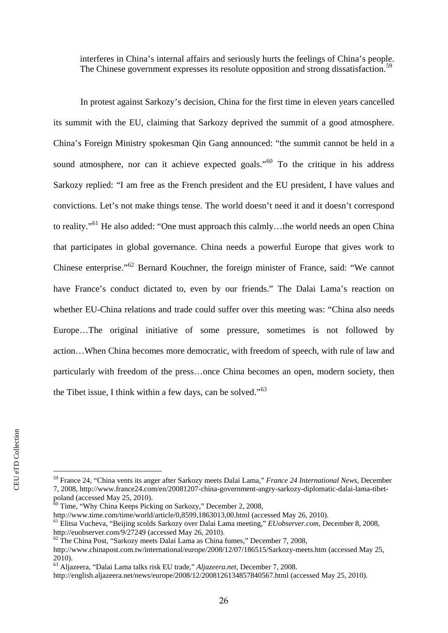interferes in China's internal affairs and seriously hurts the feelings of China's people. The Chinese government expresses its resolute opposition and strong dissatisfaction.<sup>[59](#page-28-0)</sup>

In protest against Sarkozy's decision, China for the first time in eleven years cancelled its summit with the EU, claiming that Sarkozy deprived the summit of a good atmosphere. China's Foreign Ministry spokesman Qin Gang announced: "the summit cannot be held in a sound atmosphere, nor can it achieve expected goals."<sup>[60](#page-28-1)</sup> To the critique in his address Sarkozy replied: "I am free as the French president and the EU president, I have values and convictions. Let's not make things tense. The world doesn't need it and it doesn't correspond to reality."<sup>[61](#page-28-2)</sup> He also added: "One must approach this calmly...the world needs an open China that participates in global governance. China needs a powerful Europe that gives work to Chinese enterprise."[62](#page-28-3) Bernard Kouchner, the foreign minister of France, said: "We cannot have France's conduct dictated to, even by our friends." The Dalai Lama's reaction on whether EU-China relations and trade could suffer over this meeting was: "China also needs Europe…The original initiative of some pressure, sometimes is not followed by action…When China becomes more democratic, with freedom of speech, with rule of law and particularly with freedom of the press…once China becomes an open, modern society, then the Tibet issue. I think within a few days, can be solved."<sup>[63](#page-28-4)</sup>

<span id="page-28-0"></span><sup>59</sup> France 24, "China vents its anger after Sarkozy meets Dalai Lama," *France 24 International News*, December 7, 2008, [http://www.france24.com/en/20081207-china-government-angry-sarkozy-diplomatic-dalai-lama-tibet](http://www.france24.com/en/20081207-china-government-angry-sarkozy-diplomatic-dalai-lama-tibet-poland)[poland](http://www.france24.com/en/20081207-china-government-angry-sarkozy-diplomatic-dalai-lama-tibet-poland) (accessed May 25, 2010).<br><sup>[60](http://www.france24.com/en/20081207-china-government-angry-sarkozy-diplomatic-dalai-lama-tibet-poland)</sup> Time, "Why China Keeps Picking on Sarkozy," December 2, 2008,<br>http://www.time.com/time/world/article/0.8599.1863013.00.html (accessed May 26, 2010).

<span id="page-28-2"></span><span id="page-28-1"></span><sup>&</sup>lt;sup>[61](http://www.time.com/time/world/article/0,8599,1863013,00.html)</sup> Elitsa Vucheva, "Beijing scolds Sarkozy over Dalai Lama meeting," *EUobserver.com*, December 8, 2008,

<http://euobserver.com/9/27249>(accessed May 26, 2010).<br><sup>[62](http://euobserver.com/9/27249)</sup> The China Post, "Sarkozy meets Dalai Lama as China fumes," December 7, 2008,

<span id="page-28-3"></span><http://www.chinapost.com.tw/international/europe/2008/12/07/186515/Sarkozy-meets.htm> (accessed May 25, 2010).

<span id="page-28-4"></span><sup>63</sup> Aljazeera, "Dalai Lama talks risk EU trade," *Aljazeera.net*, December 7, 2008.

<http://english.aljazeera.net/news/europe/2008/12/2008126134857840567.html>(accessed May 25, 2010).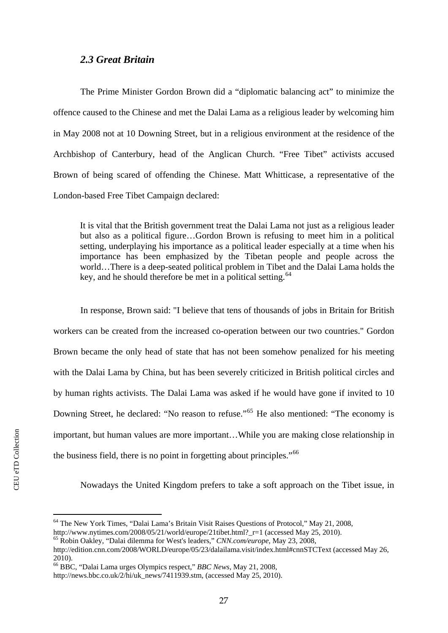### *2.3 Great Britain*

<span id="page-29-0"></span>The Prime Minister Gordon Brown did a "diplomatic balancing act" to minimize the offence caused to the Chinese and met the Dalai Lama as a religious leader by welcoming him in May 2008 not at 10 Downing Street, but in a religious environment at the residence of the Archbishop of Canterbury, head of the Anglican Church. "Free Tibet" activists accused Brown of being scared of offending the Chinese. Matt Whitticase, a representative of the London-based Free Tibet Campaign declared:

It is vital that the British government treat the Dalai Lama not just as a religious leader but also as a political figure…Gordon Brown is refusing to meet him in a political setting, underplaying his importance as a political leader especially at a time when his importance has been emphasized by the Tibetan people and people across the world…There is a deep-seated political problem in Tibet and the Dalai Lama holds the key, and he should therefore be met in a political setting.  $64$ 

In response, Brown said: "I believe that tens of thousands of jobs in Britain for British workers can be created from the increased co-operation between our two countries." Gordon Brown became the only head of state that has not been somehow penalized for his meeting with the Dalai Lama by China, but has been severely criticized in British political circles and by human rights activists. The Dalai Lama was asked if he would have gone if invited to 10 Downing Street, he declared: "No reason to refuse."[65](#page-29-2) He also mentioned: "The economy is important, but human values are more important…While you are making close relationship in the business field, there is no point in forgetting about principles."[66](#page-29-3)

Nowadays the United Kingdom prefers to take a soft approach on the Tibet issue, in

<sup>&</sup>lt;sup>64</sup> The New York Times, "Dalai Lama's Britain Visit Raises Questions of Protocol," May 21, 2008,

<span id="page-29-2"></span><span id="page-29-1"></span>[http://www.nytimes.com/2008/05/21/world/europe/21tibet.html?\\_r=1](http://www.nytimes.com/2008/05/21/world/europe/21tibet.html?_r=1) (accessed May 25, 2010). [65](http://www.nytimes.com/2008/05/21/world/europe/21tibet.html?_r=1) Robin Oakley, "Dalai dilemma for West's leaders," *CNN.com/europe*, May 23, 2008,

<http://edition.cnn.com/2008/WORLD/europe/05/23/dalailama.visit/index.html#cnnSTCText> (accessed May 26, 2010).

<span id="page-29-3"></span><sup>66</sup> BBC, "Dalai Lama urges Olympics respect," *BBC News*, May 21, 2008,

[http://news.bbc.co.uk/2/hi/uk\\_news/7411939.stm](http://news.bbc.co.uk/2/hi/uk_news/7411939.stm), (accessed May 25, 2010).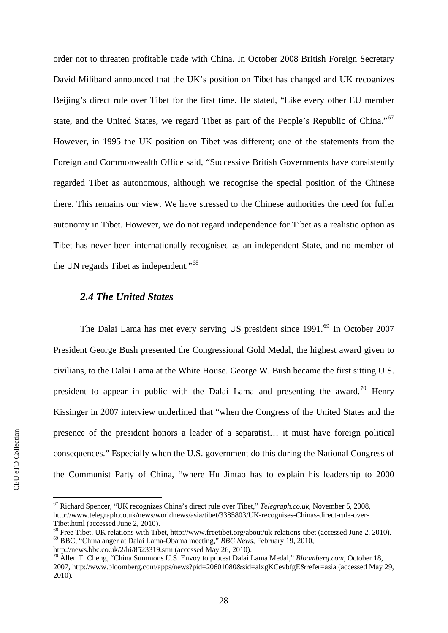order not to threaten profitable trade with China. In October 2008 British Foreign Secretary David Miliband announced that the UK's position on Tibet has changed and UK recognizes Beijing's direct rule over Tibet for the first time. He stated, "Like every other EU member state, and the United States, we regard Tibet as part of the People's Republic of China."<sup>[67](#page-30-1)</sup> However, in 1995 the UK position on Tibet was different; one of the statements from the Foreign and Commonwealth Office said, "Successive British Governments have consistently regarded Tibet as autonomous, although we recognise the special position of the Chinese there. This remains our view. We have stressed to the Chinese authorities the need for fuller autonomy in Tibet. However, we do not regard independence for Tibet as a realistic option as Tibet has never been internationally recognised as an independent State, and no member of the UN regards Tibet as independent."<sup>[68](#page-30-2)</sup>

### *2.4 The United States*

<span id="page-30-0"></span>The Dalai Lama has met every serving US president since 1991.<sup>[69](#page-30-3)</sup> In October 2007 President George Bush presented the Congressional Gold Medal, the highest award given to civilians, to the Dalai Lama at the White House. George W. Bush became the first sitting U.S. president to appear in public with the Dalai Lama and presenting the award.<sup>[70](#page-30-4)</sup> Henry Kissinger in 2007 interview underlined that "when the Congress of the United States and the presence of the president honors a leader of a separatist… it must have foreign political consequences." Especially when the U.S. government do this during the National Congress of the Communist Party of China, "where Hu Jintao has to explain his leadership to 2000

<span id="page-30-1"></span><sup>67</sup> Richard Spencer, "UK recognizes China's direct rule over Tibet," *Telegraph.co.uk*, November 5, 2008, [http://www.telegraph.co.uk/news/worldnews/asia/tibet/3385803/UK-recognises-Chinas-direct-rule-over-](http://www.telegraph.co.uk/news/worldnews/asia/tibet/3385803/UK-recognises-Chinas-direct-rule-over-Tibet.html)

<span id="page-30-3"></span><span id="page-30-2"></span>[Tibet.html](http://www.telegraph.co.uk/news/worldnews/asia/tibet/3385803/UK-recognises-Chinas-direct-rule-over-Tibet.html) (accessed June 2, 2010).<br><sup>[68](http://www.telegraph.co.uk/news/worldnews/asia/tibet/3385803/UK-recognises-Chinas-direct-rule-over-Tibet.html)</sup> Free Tibet, UK relations with Tibet, <http://www.freetibet.org/about/uk-relations-tibet> (accessed June 2, 2010).<br><sup>69</sup> BBC, "China anger at Dalai Lama-Obama meeting," *BBC News*, Febr

<span id="page-30-4"></span><sup>&</sup>lt;sup>[70](http://news.bbc.co.uk/2/hi/8523319.stm)</sup> Allen T. Cheng, "China Summons U.S. Envoy to protest Dalai Lama Medal," *Bloomberg.com*, October 18, 2007, <http://www.bloomberg.com/apps/news?pid=20601080&sid=alxgKCevbfgE&refer=asia> (accessed May 29, 2010).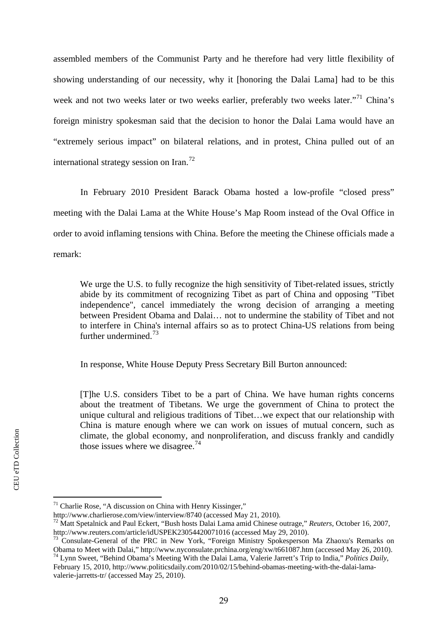assembled members of the Communist Party and he therefore had very little flexibility of showing understanding of our necessity, why it [honoring the Dalai Lama] had to be this week and not two weeks later or two weeks earlier, preferably two weeks later."<sup>[71](#page-31-0)</sup> China's foreign ministry spokesman said that the decision to honor the Dalai Lama would have an "extremely serious impact" on bilateral relations, and in protest, China pulled out of an international strategy session on Iran.[72](#page-31-1)

In February 2010 President Barack Obama hosted a low-profile "closed press" meeting with the Dalai Lama at the White House's Map Room instead of the Oval Office in order to avoid inflaming tensions with China. Before the meeting the Chinese officials made a remark:

We urge the U.S. to fully recognize the high sensitivity of Tibet-related issues, strictly abide by its commitment of recognizing Tibet as part of China and opposing "Tibet independence", cancel immediately the wrong decision of arranging a meeting between President Obama and Dalai… not to undermine the stability of Tibet and not to interfere in China's internal affairs so as to protect China-US relations from being further undermined<sup>[73](#page-31-2)</sup>

In response, White House Deputy Press Secretary Bill Burton announced:

[T]he U.S. considers Tibet to be a part of China. We have human rights concerns about the treatment of Tibetans. We urge the government of China to protect the unique cultural and religious traditions of Tibet…we expect that our relationship with China is mature enough where we can work on issues of mutual concern, such as climate, the global economy, and nonproliferation, and discuss frankly and candidly those issues where we disagree.<sup>[74](#page-31-3)</sup>

 $71$  Charlie Rose, "A discussion on China with Henry Kissinger,"

<span id="page-31-1"></span><span id="page-31-0"></span><http://www.charlierose.com/view/interview/8740> (accessed May 21, 2010). [72](http://www.charlierose.com/view/interview/8740) Matt Spetalnick and Paul Eckert, "Bush hosts Dalai Lama amid Chinese outrage," *Reuters*, October 16, 2007,

<span id="page-31-2"></span><http://www.reuters.com/article/idUSPEK23054420071016>(accessed May 29, 2010).<br><sup>[73](http://www.reuters.com/article/idUSPEK23054420071016)</sup> Consulate-General of the PRC in New York, "Foreign Ministry Spokesperson Ma Zhaoxu's Remarks on<br>Obama to Meet with Dalai," http://www.nycon <sup>74</sup> Lynn Sweet, "Behind Obama's Meeting With the Dalai Lama, Valerie Jarrett's Trip to India," *Politics Daily*,

<span id="page-31-3"></span>February 15, 2010, [http://www.politicsdaily.com/2010/02/15/behind-obamas-meeting-with-the-dalai-lama](http://www.politicsdaily.com/2010/02/15/behind-obamas-meeting-with-the-dalai-lama-valerie-jarretts-tr/)[valerie-jarretts-tr/](http://www.politicsdaily.com/2010/02/15/behind-obamas-meeting-with-the-dalai-lama-valerie-jarretts-tr/) (accessed May 25, 2010).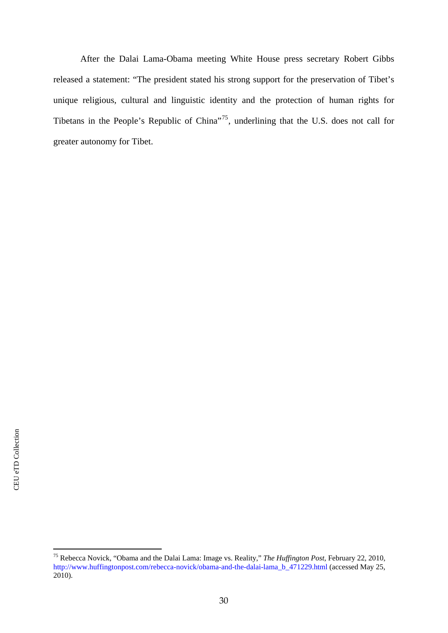After the Dalai Lama-Obama meeting White House press secretary Robert Gibbs released a statement: "The president stated his strong support for the preservation of Tibet's unique religious, cultural and linguistic identity and the protection of human rights for Tibetans in the People's Republic of China"[75](#page-32-0), underlining that the U.S. does not call for greater autonomy for Tibet.

<span id="page-32-0"></span><sup>75</sup> Rebecca Novick, "Obama and the Dalai Lama: Image vs. Reality," *The Huffington Post*, February 22, 2010, [http://www.huffingtonpost.com/rebecca-novick/obama-and-the-dalai-lama\\_b\\_471229.html](http://www.huffingtonpost.com/rebecca-novick/obama-and-the-dalai-lama_b_471229.html) (accessed May 25,  $2010$ ).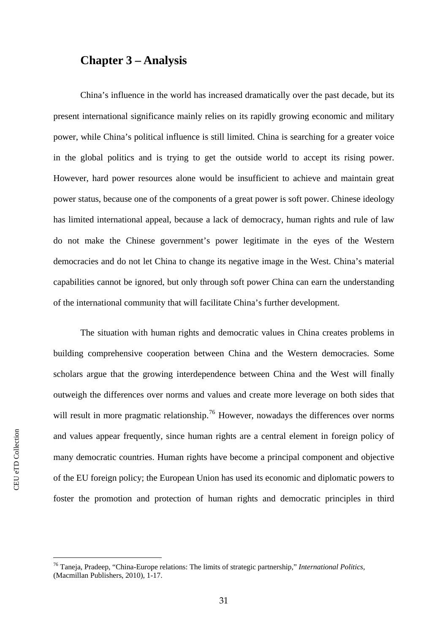# **Chapter 3 – Analysis**

<span id="page-33-0"></span>China's influence in the world has increased dramatically over the past decade, but its present international significance mainly relies on its rapidly growing economic and military power, while China's political influence is still limited. China is searching for a greater voice in the global politics and is trying to get the outside world to accept its rising power. However, hard power resources alone would be insufficient to achieve and maintain great power status, because one of the components of a great power is soft power. Chinese ideology has limited international appeal, because a lack of democracy, human rights and rule of law do not make the Chinese government's power legitimate in the eyes of the Western democracies and do not let China to change its negative image in the West. China's material capabilities cannot be ignored, but only through soft power China can earn the understanding of the international community that will facilitate China's further development.

The situation with human rights and democratic values in China creates problems in building comprehensive cooperation between China and the Western democracies. Some scholars argue that the growing interdependence between China and the West will finally outweigh the differences over norms and values and create more leverage on both sides that will result in more pragmatic relationship.<sup>[76](#page-33-1)</sup> However, nowadays the differences over norms and values appear frequently, since human rights are a central element in foreign policy of many democratic countries. Human rights have become a principal component and objective of the EU foreign policy; the European Union has used its economic and diplomatic powers to foster the promotion and protection of human rights and democratic principles in third

<span id="page-33-1"></span><sup>76</sup> Taneja, Pradeep, "China-Europe relations: The limits of strategic partnership," *International Politics*, (Macmillan Publishers, 2010), 1-17.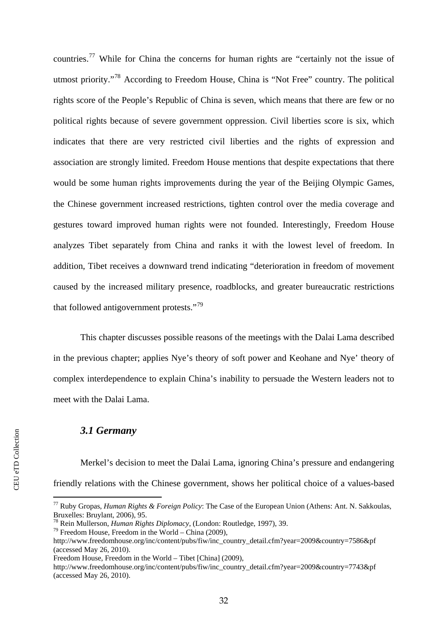countries.[77](#page-34-1) While for China the concerns for human rights are "certainly not the issue of utmost priority."[78](#page-34-2) According to Freedom House, China is "Not Free" country. The political rights score of the People's Republic of China is seven, which means that there are few or no political rights because of severe government oppression. Civil liberties score is six, which indicates that there are very restricted civil liberties and the rights of expression and association are strongly limited. Freedom House mentions that despite expectations that there would be some human rights improvements during the year of the Beijing Olympic Games, the Chinese government increased restrictions, tighten control over the media coverage and gestures toward improved human rights were not founded. Interestingly, Freedom House analyzes Tibet separately from China and ranks it with the lowest level of freedom. In addition, Tibet receives a downward trend indicating "deterioration in freedom of movement caused by the increased military presence, roadblocks, and greater bureaucratic restrictions that followed antigovernment protests."[79](#page-34-3)

This chapter discusses possible reasons of the meetings with the Dalai Lama described in the previous chapter; applies Nye's theory of soft power and Keohane and Nye' theory of complex interdependence to explain China's inability to persuade the Western leaders not to meet with the Dalai Lama.

#### *3.1 Germany*

<span id="page-34-0"></span>Merkel's decision to meet the Dalai Lama, ignoring China's pressure and endangering friendly relations with the Chinese government, shows her political choice of a values-based

<span id="page-34-1"></span><sup>77</sup> Ruby Gropas, *Human Rights & Foreign Policy*: The Case of the European Union (Athens: Ant. N. Sakkoulas, Bruxelles: Bruylant, 2006), 95.<br><sup>78</sup> Rein Mullerson. Human Rights Diplomacy. (London: Routledge. 1997). 39.

<span id="page-34-3"></span><span id="page-34-2"></span><sup>&</sup>lt;sup>79</sup> Freedom House, Freedom in the World – China (2009),

[http://www.freedomhouse.org/inc/content/pubs/fiw/inc\\_country\\_detail.cfm?year=2009&country=7586&pf](http://www.freedomhouse.org/inc/content/pubs/fiw/inc_country_detail.cfm?year=2009&country=7586&pf) (accessed May 26, 2010).

Freedom House, Freedom in the World – Tibet [China] (2009),

[http://www.freedomhouse.org/inc/content/pubs/fiw/inc\\_country\\_detail.cfm?year=2009&country=7743&pf](http://www.freedomhouse.org/inc/content/pubs/fiw/inc_country_detail.cfm?year=2009&country=7743&pf) (accessed May 26, 2010).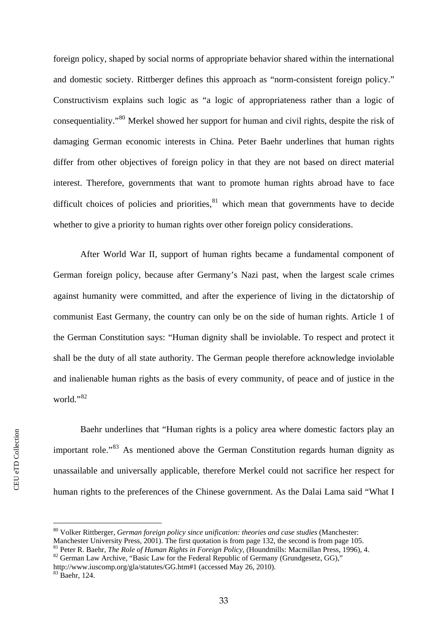foreign policy, shaped by social norms of appropriate behavior shared within the international and domestic society. Rittberger defines this approach as "norm-consistent foreign policy." Constructivism explains such logic as "a logic of appropriateness rather than a logic of consequentiality."[80](#page-35-0) Merkel showed her support for human and civil rights, despite the risk of damaging German economic interests in China. Peter Baehr underlines that human rights differ from other objectives of foreign policy in that they are not based on direct material interest. Therefore, governments that want to promote human rights abroad have to face difficult choices of policies and priorities, $81$  which mean that governments have to decide whether to give a priority to human rights over other foreign policy considerations.

After World War II, support of human rights became a fundamental component of German foreign policy, because after Germany's Nazi past, when the largest scale crimes against humanity were committed, and after the experience of living in the dictatorship of communist East Germany, the country can only be on the side of human rights. Article 1 of the German Constitution says: "Human dignity shall be inviolable. To respect and protect it shall be the duty of all state authority. The German people therefore acknowledge inviolable and inalienable human rights as the basis of every community, of peace and of justice in the world."<sup>[82](#page-35-2)</sup>

Baehr underlines that "Human rights is a policy area where domestic factors play an important role."[83](#page-35-3) As mentioned above the German Constitution regards human dignity as unassailable and universally applicable, therefore Merkel could not sacrifice her respect for human rights to the preferences of the Chinese government. As the Dalai Lama said "What I

<span id="page-35-0"></span><sup>80</sup> Volker Rittberger, *German foreign policy since unification: theories and case studies* (Manchester: Manchester University Press, 2001). The first quotation is from page 132, the second is from page 105.

<span id="page-35-1"></span><sup>&</sup>lt;sup>81</sup> Peter R. Baehr, *The Role of Human Rights in Foreign Policy*, (Houndmills: Macmillan Press, 1996), 4. <sup>82</sup> German Law Archive, "Basic Law for the Federal Republic of Germany (Grundgesetz, GG),"

<span id="page-35-2"></span>

<http://www.iuscomp.org/gla/statutes/GG.htm#1>(accessed May 26, 2010).<br><sup>[83](http://www.iuscomp.org/gla/statutes/GG.htm#1)</sup> Baehr, 124.

<span id="page-35-3"></span>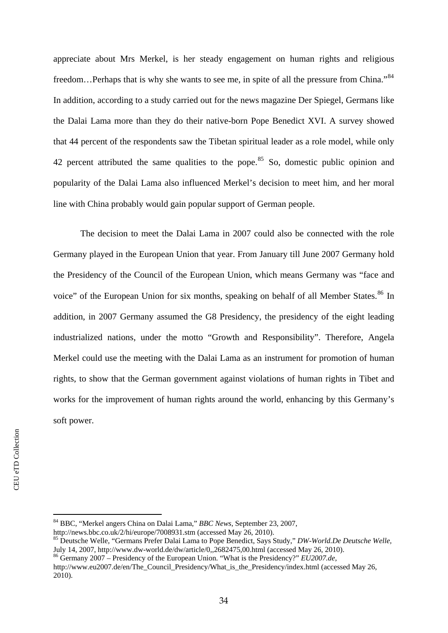appreciate about Mrs Merkel, is her steady engagement on human rights and religious freedom...Perhaps that is why she wants to see me, in spite of all the pressure from China."<sup>[84](#page-36-0)</sup> In addition, according to a study carried out for the news magazine Der Spiegel, Germans like the Dalai Lama more than they do their native-born Pope Benedict XVI. A survey showed that 44 percent of the respondents saw the Tibetan spiritual leader as a role model, while only 42 percent attributed the same qualities to the pope. $85$  So, domestic public opinion and popularity of the Dalai Lama also influenced Merkel's decision to meet him, and her moral line with China probably would gain popular support of German people.

The decision to meet the Dalai Lama in 2007 could also be connected with the role Germany played in the European Union that year. From January till June 2007 Germany hold the Presidency of the Council of the European Union, which means Germany was "face and voice" of the European Union for six months, speaking on behalf of all Member States.<sup>[86](#page-36-2)</sup> In addition, in 2007 Germany assumed the G8 Presidency, the presidency of the eight leading industrialized nations, under the motto "Growth and Responsibility". Therefore, Angela Merkel could use the meeting with the Dalai Lama as an instrument for promotion of human rights, to show that the German government against violations of human rights in Tibet and works for the improvement of human rights around the world, enhancing by this Germany's soft power.

<sup>84</sup> BBC, "Merkel angers China on Dalai Lama," *BBC News*, September 23, 2007,

<span id="page-36-1"></span><span id="page-36-0"></span><http://news.bbc.co.uk/2/hi/europe/7008931.stm>(accessed May 26, 2010).<br><sup>[85](http://news.bbc.co.uk/2/hi/europe/7008931.stm)</sup> Deutsche Welle, "Germans Prefer Dalai Lama to Pope Benedict, Says Study," *DW-World.De Deutsche Welle,*<br>July 14, 2007, http://www.dw-world.de/dw/a

<span id="page-36-2"></span><sup>&</sup>lt;sup>86</sup> Germany 2007 – Presidency of the European Union. "What is the Presidency?" *EU2007.de*, [http://www.eu2007.de/en/The\\_Council\\_Presidency/What\\_is\\_the\\_Presidency/index.html](http://www.eu2007.de/en/The_Council_Presidency/What_is_the_Presidency/index.html) (accessed May 26, 2010).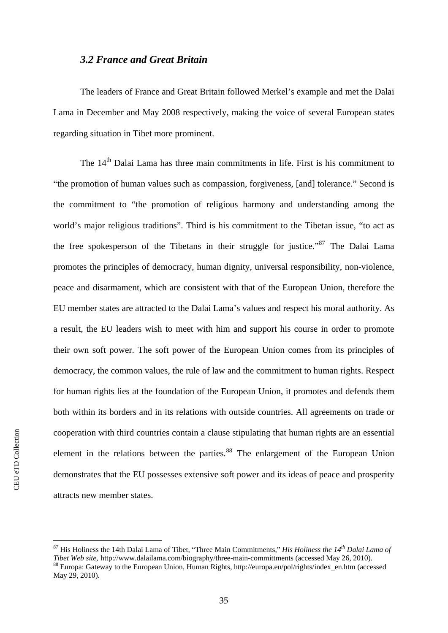### *3.2 France and Great Britain*

<span id="page-37-0"></span>The leaders of France and Great Britain followed Merkel's example and met the Dalai Lama in December and May 2008 respectively, making the voice of several European states regarding situation in Tibet more prominent.

The 14<sup>th</sup> Dalai Lama has three main commitments in life. First is his commitment to "the promotion of human values such as compassion, forgiveness, [and] tolerance." Second is the commitment to "the promotion of religious harmony and understanding among the world's major religious traditions". Third is his commitment to the Tibetan issue, "to act as the free spokesperson of the Tibetans in their struggle for justice."[87](#page-37-1) The Dalai Lama promotes the principles of democracy, human dignity, universal responsibility, non-violence, peace and disarmament, which are consistent with that of the European Union, therefore the EU member states are attracted to the Dalai Lama's values and respect his moral authority. As a result, the EU leaders wish to meet with him and support his course in order to promote their own soft power. The soft power of the European Union comes from its principles of democracy, the common values, the rule of law and the commitment to human rights. Respect for human rights lies at the foundation of the European Union, it promotes and defends them both within its borders and in its relations with outside countries. All agreements on trade or cooperation with third countries contain a clause stipulating that human rights are an essential element in the relations between the parties.<sup>[88](#page-37-2)</sup> The enlargement of the European Union demonstrates that the EU possesses extensive soft power and its ideas of peace and prosperity attracts new member states.

<span id="page-37-2"></span><span id="page-37-1"></span><sup>87</sup> His Holiness the 14th Dalai Lama of Tibet, "Three Main Commitments," *His Holiness the 14th Dalai Lama of Tibet Web site,* <http://www.dalailama.com/biography/three-main-committments> [\(accessed May 26, 2](http://europa.eu/pol/rights/index_en.htm)010).<br><sup>88</sup> Europa: Gateway to the European Union, Human Rights, [http://europa.eu/pol/rights/index\\_en.htm](http://europa.eu/pol/rights/index_en.htm) (accessed May 29, 2010).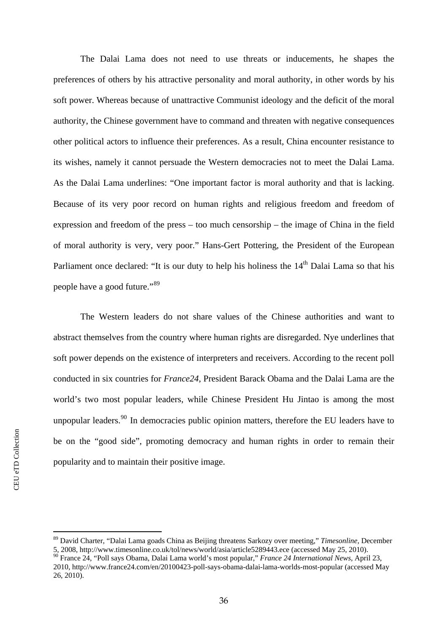The Dalai Lama does not need to use threats or inducements, he shapes the preferences of others by his attractive personality and moral authority, in other words by his soft power. Whereas because of unattractive Communist ideology and the deficit of the moral authority, the Chinese government have to command and threaten with negative consequences other political actors to influence their preferences. As a result, China encounter resistance to its wishes, namely it cannot persuade the Western democracies not to meet the Dalai Lama. As the Dalai Lama underlines: "One important factor is moral authority and that is lacking. Because of its very poor record on human rights and religious freedom and freedom of expression and freedom of the press – too much censorship – the image of China in the field of moral authority is very, very poor." Hans-Gert Pottering, the President of the European Parliament once declared: "It is our duty to help his holiness the 14<sup>th</sup> Dalai Lama so that his people have a good future."[89](#page-38-0)

The Western leaders do not share values of the Chinese authorities and want to abstract themselves from the country where human rights are disregarded. Nye underlines that soft power depends on the existence of interpreters and receivers. According to the recent poll conducted in six countries for *France24*, President Barack Obama and the Dalai Lama are the world's two most popular leaders, while Chinese President Hu Jintao is among the most unpopular leaders.<sup>[90](#page-38-1)</sup> In democracies public opinion matters, therefore the EU leaders have to be on the "good side", promoting democracy and human rights in order to remain their popularity and to maintain their positive image.

<span id="page-38-0"></span><sup>89</sup> David Charter, "Dalai Lama goads China as Beijing threatens Sarkozy over meeting," *Timesonline,* December 5, 2008, <http://www.timesonline.co.uk/tol/news/world/asia/article5289443.ece>(accessed May 25, 2010).

<span id="page-38-1"></span><sup>90</sup> France 24, "Poll says Obama, Dalai Lama world's most popular," *France 24 International News,* April 23, 2010, <http://www.france24.com/en/20100423-poll-says-obama-dalai-lama-worlds-most-popular>(accessed May 26, 2010).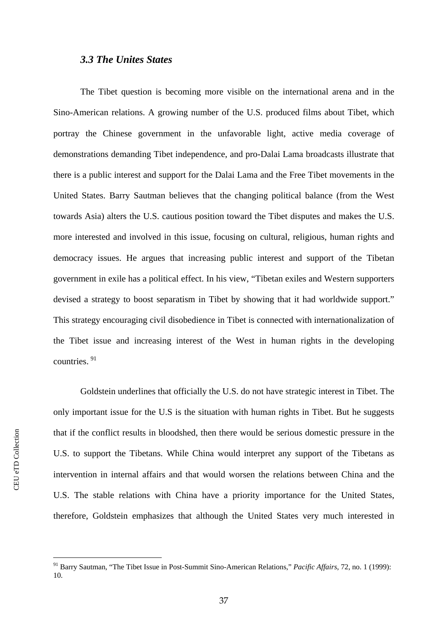### *3.3 The Unites States*

<span id="page-39-0"></span>The Tibet question is becoming more visible on the international arena and in the Sino-American relations. A growing number of the U.S. produced films about Tibet, which portray the Chinese government in the unfavorable light, active media coverage of demonstrations demanding Tibet independence, and pro-Dalai Lama broadcasts illustrate that there is a public interest and support for the Dalai Lama and the Free Tibet movements in the United States. Barry Sautman believes that the changing political balance (from the West towards Asia) alters the U.S. cautious position toward the Tibet disputes and makes the U.S. more interested and involved in this issue, focusing on cultural, religious, human rights and democracy issues. He argues that increasing public interest and support of the Tibetan government in exile has a political effect. In his view, "Tibetan exiles and Western supporters devised a strategy to boost separatism in Tibet by showing that it had worldwide support." This strategy encouraging civil disobedience in Tibet is connected with internationalization of the Tibet issue and increasing interest of the West in human rights in the developing countries. [91](#page-39-1)

Goldstein underlines that officially the U.S. do not have strategic interest in Tibet. The only important issue for the U.S is the situation with human rights in Tibet. But he suggests that if the conflict results in bloodshed, then there would be serious domestic pressure in the U.S. to support the Tibetans. While China would interpret any support of the Tibetans as intervention in internal affairs and that would worsen the relations between China and the U.S. The stable relations with China have a priority importance for the United States, therefore, Goldstein emphasizes that although the United States very much interested in

<span id="page-39-1"></span><sup>91</sup> Barry Sautman, "The Tibet Issue in Post-Summit Sino-American Relations," *Pacific Affairs*, 72, no. 1 (1999): 10.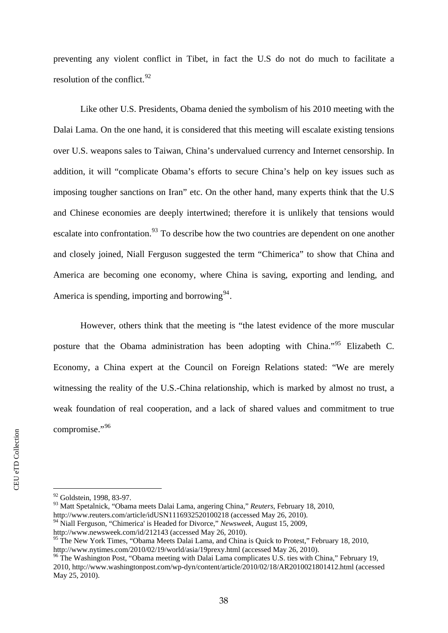preventing any violent conflict in Tibet, in fact the U.S do not do much to facilitate a resolution of the conflict.  $92$ 

Like other U.S. Presidents, Obama denied the symbolism of his 2010 meeting with the Dalai Lama. On the one hand, it is considered that this meeting will escalate existing tensions over U.S. weapons sales to Taiwan, China's undervalued currency and Internet censorship. In addition, it will "complicate Obama's efforts to secure China's help on key issues such as imposing tougher sanctions on Iran" etc. On the other hand, many experts think that the U.S and Chinese economies are deeply intertwined; therefore it is unlikely that tensions would escalate into confrontation.<sup>[93](#page-40-1)</sup> To describe how the two countries are dependent on one another and closely joined, Niall Ferguson suggested the term "Chimerica" to show that China and America are becoming one economy, where China is saving, exporting and lending, and America is spending, importing and borrowing $^{94}$  $^{94}$  $^{94}$ .

However, others think that the meeting is "the latest evidence of the more muscular posture that the Obama administration has been adopting with China."[95](#page-40-3) Elizabeth C. Economy, a China expert at the Council on Foreign Relations stated: "We are merely witnessing the reality of the U.S.-China relationship, which is marked by almost no trust, a weak foundation of real cooperation, and a lack of shared values and commitment to true compromise."<sup>[96](#page-40-4)</sup>

<span id="page-40-0"></span><sup>&</sup>lt;sup>92</sup> Goldstein, 1998, 83-97.

<span id="page-40-1"></span><sup>93</sup> Matt Spetalnick, "Obama meets Dalai Lama, angering China," *Reuters*, February 18, 2010,

<http://www.reuters.com/article/idUSN1116932520100218> (accessed May 26, 2010). 94 Niall Ferguson, "Chimerica' is Headed for Divorce," *Newsweek*, August 15, 2009,

<span id="page-40-2"></span><http://www.newsweek.com/id/212143>(accessed May 26, 2010).

<span id="page-40-3"></span><sup>&</sup>lt;sup>95</sup> The New York Times, "Obama Meets Dalai Lama, and China is Quick to Protest," February 18, 2010, http://www.nytimes.com/2010/02/19/world/asia/19prexy.html (accessed May 26, 2010).

<span id="page-40-4"></span><sup>&</sup>lt;sup>[96](http://www.nytimes.com/2010/02/19/world/asia/19prexy.html)</sup> The Washington Post, "Obama meeting with Dalai Lama complicates U.S. ties with China," February 19, 2010, <http://www.washingtonpost.com/wp-dyn/content/article/2010/02/18/AR2010021801412.html> (accessed May 25, 2010).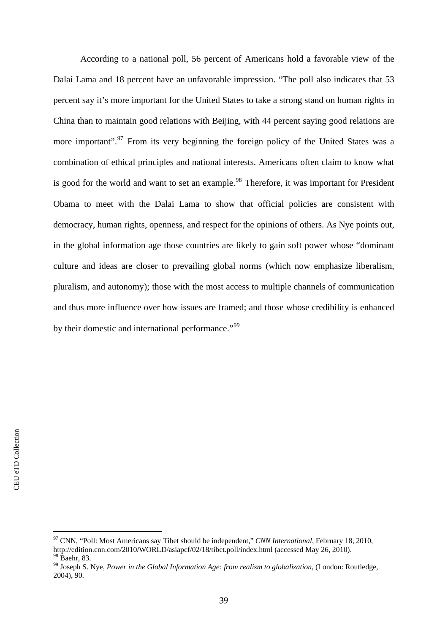According to a national poll, 56 percent of Americans hold a favorable view of the Dalai Lama and 18 percent have an unfavorable impression. "The poll also indicates that 53 percent say it's more important for the United States to take a strong stand on human rights in China than to maintain good relations with Beijing, with 44 percent saying good relations are more important".<sup>[97](#page-41-0)</sup> From its very beginning the foreign policy of the United States was a combination of ethical principles and national interests. Americans often claim to know what is good for the world and want to set an example.<sup>[98](#page-41-1)</sup> Therefore, it was important for President Obama to meet with the Dalai Lama to show that official policies are consistent with democracy, human rights, openness, and respect for the opinions of others. As Nye points out, in the global information age those countries are likely to gain soft power whose "dominant culture and ideas are closer to prevailing global norms (which now emphasize liberalism, pluralism, and autonomy); those with the most access to multiple channels of communication and thus more influence over how issues are framed; and those whose credibility is enhanced by their domestic and international performance."<sup>[99](#page-41-2)</sup>

**CEU** eTD Collection CEU eTD Collection

<span id="page-41-0"></span><sup>97</sup> CNN, "Poll: Most Americans say Tibet should be independent," *CNN International*, February 18, 2010, <http://edition.cnn.com/2010/WORLD/asiapcf/02/18/tibet.poll/index.html>(accessed May 26, 2010).  $98$  Baehr, 83.

<span id="page-41-2"></span><span id="page-41-1"></span><sup>99</sup> Joseph S. Nye, *Power in the Global Information Age: from realism to globalization*, (London: Routledge, 2004), 90.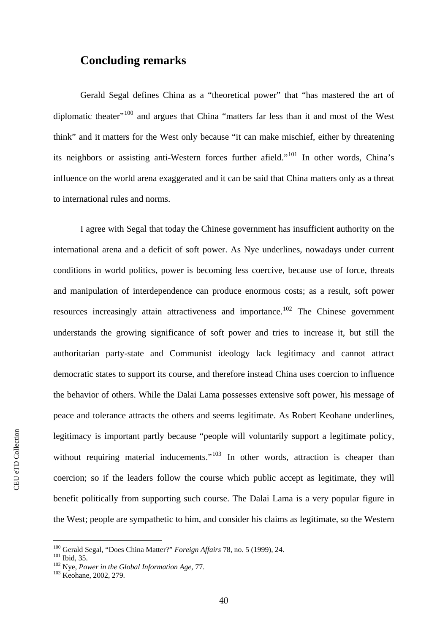# **Concluding remarks**

<span id="page-42-0"></span>Gerald Segal defines China as a "theoretical power" that "has mastered the art of diplomatic theater"<sup>[100](#page-42-1)</sup> and argues that China "matters far less than it and most of the West think" and it matters for the West only because "it can make mischief, either by threatening its neighbors or assisting anti-Western forces further afield."[101](#page-42-2) In other words, China's influence on the world arena exaggerated and it can be said that China matters only as a threat to international rules and norms.

I agree with Segal that today the Chinese government has insufficient authority on the international arena and a deficit of soft power. As Nye underlines, nowadays under current conditions in world politics, power is becoming less coercive, because use of force, threats and manipulation of interdependence can produce enormous costs; as a result, soft power resources increasingly attain attractiveness and importance.<sup>[102](#page-42-3)</sup> The Chinese government understands the growing significance of soft power and tries to increase it, but still the authoritarian party-state and Communist ideology lack legitimacy and cannot attract democratic states to support its course, and therefore instead China uses coercion to influence the behavior of others. While the Dalai Lama possesses extensive soft power, his message of peace and tolerance attracts the others and seems legitimate. As Robert Keohane underlines, legitimacy is important partly because "people will voluntarily support a legitimate policy, without requiring material inducements. $103$  In other words, attraction is cheaper than coercion; so if the leaders follow the course which public accept as legitimate, they will benefit politically from supporting such course. The Dalai Lama is a very popular figure in the West; people are sympathetic to him, and consider his claims as legitimate, so the Western

<span id="page-42-1"></span><sup>&</sup>lt;sup>100</sup> Gerald Segal, "Does China Matter?" *Foreign Affairs* 78, no. 5 (1999), 24.

<span id="page-42-3"></span><span id="page-42-2"></span><sup>&</sup>lt;sup>101</sup> Ibid, 35.<br><sup>102</sup> Nye, *Power in the Global Information Age, 77.* <sup>103</sup> Keohane, 2002, 279.

<span id="page-42-4"></span>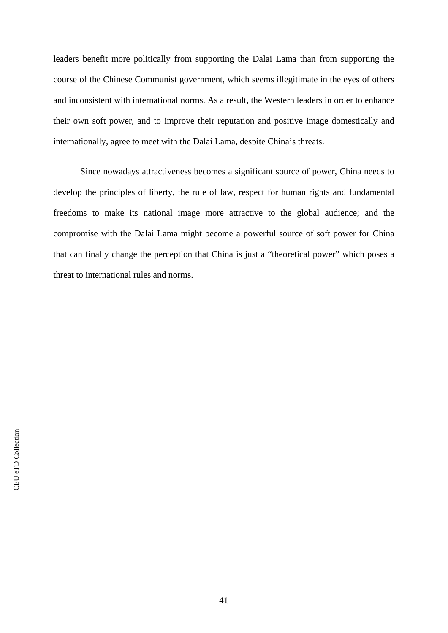leaders benefit more politically from supporting the Dalai Lama than from supporting the course of the Chinese Communist government, which seems illegitimate in the eyes of others and inconsistent with international norms. As a result, the Western leaders in order to enhance their own soft power, and to improve their reputation and positive image domestically and internationally, agree to meet with the Dalai Lama, despite China's threats.

Since nowadays attractiveness becomes a significant source of power, China needs to develop the principles of liberty, the rule of law, respect for human rights and fundamental freedoms to make its national image more attractive to the global audience; and the compromise with the Dalai Lama might become a powerful source of soft power for China that can finally change the perception that China is just a "theoretical power" which poses a threat to international rules and norms.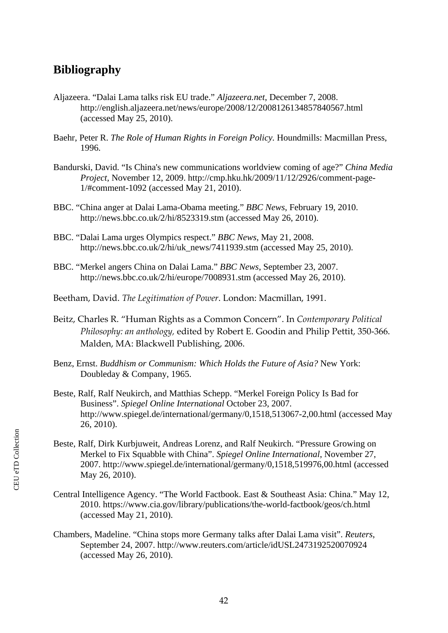# <span id="page-44-0"></span>**Bibliography**

- Aljazeera. "Dalai Lama talks risk EU trade." *Aljazeera.net*, December 7, 2008. <http://english.aljazeera.net/news/europe/2008/12/2008126134857840567.html> (accessed May 25, 2010).
- Baehr, Peter R. *The Role of Human Rights in Foreign Policy.* Houndmills: Macmillan Press, 1996.
- Bandurski, David. "Is China's new communications worldview coming of age?" *China Media Project*, November 12, 2009. [http://cmp.hku.hk/2009/11/12/2926/comment-page-](http://cmp.hku.hk/2009/11/12/2926/comment-page-1/#comment-1092)[1/#comment-1092](http://cmp.hku.hk/2009/11/12/2926/comment-page-1/#comment-1092) (accessed May 21, 2010).
- BBC. "China anger at Dalai Lama-Obama meeting." *BBC News*, February 19, 2010. <http://news.bbc.co.uk/2/hi/8523319.stm>(accessed May 26, 2010).
- BBC. "Dalai Lama urges Olympics respect." *BBC News*, May 21, 2008. [http://news.bbc.co.uk/2/hi/uk\\_news/7411939.stm](http://news.bbc.co.uk/2/hi/uk_news/7411939.stm) (accessed May 25, 2010).
- BBC. "Merkel angers China on Dalai Lama." *BBC News*, September 23, 2007. <http://news.bbc.co.uk/2/hi/europe/7008931.stm>(accessed May 26, 2010).
- Beetham, David. *The Legitimation of Power*. London: Macmillan, 1991.
- Beitz, Charles R. "Human Rights as a Common Concern". In *Contemporary Political Philosophy: an anthology,* edited by Robert E. Goodin and Philip Pettit, 350‐366. Malden, MA: Blackwell Publishing, 2006.
- Benz, Ernst. *Buddhism or Communism: Which Holds the Future of Asia?* New York: Doubleday & Company, 1965.
- Beste, Ralf, Ralf Neukirch, and Matthias Schepp. "Merkel Foreign Policy Is Bad for Business". *Spiegel Online International* October 23, 2007. <http://www.spiegel.de/international/germany/0,1518,513067-2,00.html> (accessed May 26, 2010).
- Beste, Ralf, Dirk Kurbjuweit, Andreas Lorenz, and Ralf Neukirch. "Pressure Growing on Merkel to Fix Squabble with China". *Spiegel Online International*, November 27, 2007. <http://www.spiegel.de/international/germany/0,1518,519976,00.html>(accessed May 26, 2010).
- Central Intelligence Agency. "The World Factbook. East & Southeast Asia: China." May 12, 2010. <https://www.cia.gov/library/publications/the-world-factbook/geos/ch.html> (accessed May 21, 2010).
- Chambers, Madeline. "China stops more Germany talks after Dalai Lama visit". *Reuters*, September 24, 2007.<http://www.reuters.com/article/idUSL2473192520070924> (accessed May 26, 2010).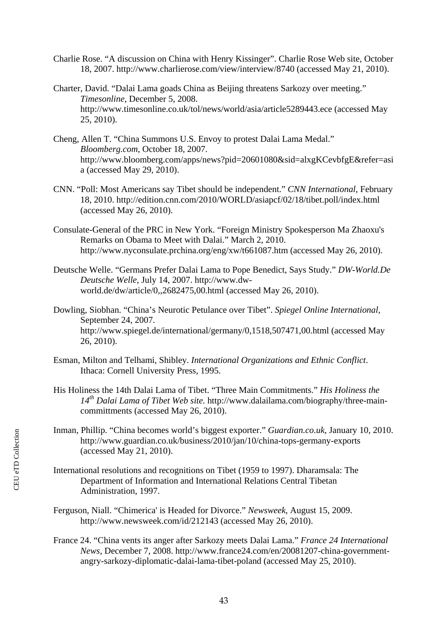- Charlie Rose. "A discussion on China with Henry Kissinger". Charlie Rose Web site, October 18, 2007. <http://www.charlierose.com/view/interview/8740>(accessed May 21, 2010).
- Charter, David. "Dalai Lama goads China as Beijing threatens Sarkozy over meeting." *Timesonline*, December 5, 2008. <http://www.timesonline.co.uk/tol/news/world/asia/article5289443.ece>(accessed May 25, 2010).
- Cheng, Allen T. "China Summons U.S. Envoy to protest Dalai Lama Medal." *Bloomberg.com*, October 18, 2007. [http://www.bloomberg.com/apps/news?pid=20601080&sid=alxgKCevbfgE&refer=asi](http://www.bloomberg.com/apps/news?pid=20601080&sid=alxgKCevbfgE&refer=asia) [a](http://www.bloomberg.com/apps/news?pid=20601080&sid=alxgKCevbfgE&refer=asia) (accessed May 29, 2010).
- CNN. "Poll: Most Americans say Tibet should be independent." *CNN International*, February 18, 2010. <http://edition.cnn.com/2010/WORLD/asiapcf/02/18/tibet.poll/index.html> (accessed May 26, 2010).
- Consulate-General of the PRC in New York. "Foreign Ministry Spokesperson Ma Zhaoxu's Remarks on Obama to Meet with Dalai." March 2, 2010. <http://www.nyconsulate.prchina.org/eng/xw/t661087.htm>(accessed May 26, 2010).
- Deutsche Welle. "Germans Prefer Dalai Lama to Pope Benedict, Says Study." *DW-World.De Deutsche Welle*, July 14, 2007. [http://www.dw](http://www.dw-world.de/dw/article/0,,2682475,00.html)[world.de/dw/article/0,,2682475,00.html](http://www.dw-world.de/dw/article/0,,2682475,00.html) (accessed May 26, 2010).
- Dowling, Siobhan. "China's Neurotic Petulance over Tibet". *Spiegel Online International,* September 24, 2007. <http://www.spiegel.de/international/germany/0,1518,507471,00.html> (accessed May 26, 2010).
- Esman, Milton and Telhami, Shibley. *International Organizations and Ethnic Conflict*. Ithaca: Cornell University Press, 1995.
- His Holiness the 14th Dalai Lama of Tibet. "Three Main Commitments." *His Holiness the 14th Dalai Lama of Tibet Web site.* [http://www.dalailama.com/biography/three-main](http://www.dalailama.com/biography/three-main-committments)[committments](http://www.dalailama.com/biography/three-main-committments) (accessed May 26, 2010).
- Inman, Phillip. "China becomes world's biggest exporter." *Guardian.co.uk*, January 10, 2010. <http://www.guardian.co.uk/business/2010/jan/10/china-tops-germany-exports> (accessed May 21, 2010).
- International resolutions and recognitions on Tibet (1959 to 1997). Dharamsala: The Department of Information and International Relations Central Tibetan Administration, 1997.
- Ferguson, Niall. "Chimerica' is Headed for Divorce." *Newsweek*, August 15, 2009. <http://www.newsweek.com/id/212143> (accessed May 26, 2010).
- France 24. "China vents its anger after Sarkozy meets Dalai Lama." *France 24 International News*, December 7, 2008. [http://www.france24.com/en/20081207-china-government](http://www.france24.com/en/20081207-china-government-angry-sarkozy-diplomatic-dalai-lama-tibet-poland)[angry-sarkozy-diplomatic-dalai-lama-tibet-poland](http://www.france24.com/en/20081207-china-government-angry-sarkozy-diplomatic-dalai-lama-tibet-poland) (accessed May 25, 2010).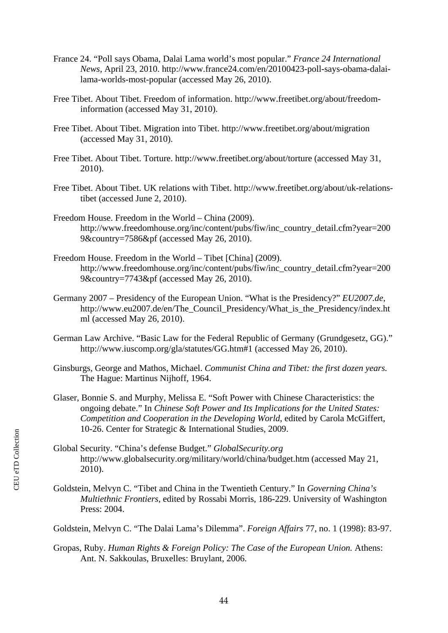- France 24. "Poll says Obama, Dalai Lama world's most popular." *France 24 International News,* April 23, 2010. [http://www.france24.com/en/20100423-poll-says-obama-dalai](http://www.france24.com/en/20100423-poll-says-obama-dalai-lama-worlds-most-popular)[lama-worlds-most-popular](http://www.france24.com/en/20100423-poll-says-obama-dalai-lama-worlds-most-popular) (accessed May 26, 2010).
- Free Tibet. About Tibet. Freedom of information. [http://www.freetibet.org/about/freedom](http://www.freetibet.org/about/freedom-information)[information](http://www.freetibet.org/about/freedom-information) (accessed May 31, 2010).
- Free Tibet. About Tibet. Migration into Tibet. <http://www.freetibet.org/about/migration> (accessed May 31, 2010).
- Free Tibet. About Tibet. Torture. <http://www.freetibet.org/about/torture>(accessed May 31, 2010).
- Free Tibet. About Tibet. UK relations with Tibet. [http://www.freetibet.org/about/uk-relations](http://www.freetibet.org/about/uk-relations-tibet)[tibet](http://www.freetibet.org/about/uk-relations-tibet) (accessed June 2, 2010).
- Freedom House. Freedom in the World China (2009). [http://www.freedomhouse.org/inc/content/pubs/fiw/inc\\_country\\_detail.cfm?year=200](http://www.freedomhouse.org/inc/content/pubs/fiw/inc_country_detail.cfm?year=2009&country=7586&pf) [9&country=7586&pf](http://www.freedomhouse.org/inc/content/pubs/fiw/inc_country_detail.cfm?year=2009&country=7586&pf) (accessed May 26, 2010).
- Freedom House. Freedom in the World Tibet [China] (2009). [http://www.freedomhouse.org/inc/content/pubs/fiw/inc\\_country\\_detail.cfm?year=200](http://www.freedomhouse.org/inc/content/pubs/fiw/inc_country_detail.cfm?year=2009&country=7743&pf) [9&country=7743&pf](http://www.freedomhouse.org/inc/content/pubs/fiw/inc_country_detail.cfm?year=2009&country=7743&pf) (accessed May 26, 2010).
- Germany 2007 Presidency of the European Union. "What is the Presidency?" *EU2007.de*, [http://www.eu2007.de/en/The\\_Council\\_Presidency/What\\_is\\_the\\_Presidency/index.ht](http://www.eu2007.de/en/The_Council_Presidency/What_is_the_Presidency/index.html) [ml](http://www.eu2007.de/en/The_Council_Presidency/What_is_the_Presidency/index.html) (accessed May 26, 2010).
- German Law Archive. "Basic Law for the Federal Republic of Germany (Grundgesetz, GG)." <http://www.iuscomp.org/gla/statutes/GG.htm#1>(accessed May 26, 2010).
- Ginsburgs, George and Mathos, Michael. *Communist China and Tibet: the first dozen years.* The Hague: Martinus Nijhoff, 1964.
- Glaser, Bonnie S. and Murphy, Melissa E. "Soft Power with Chinese Characteristics: the ongoing debate." In *Chinese Soft Power and Its Implications for the United States: Competition and Cooperation in the Developing World*, edited by Carola McGiffert, 10-26. Center for Strategic & International Studies, 2009.
- Global Security. "China's defense Budget." *GlobalSecurity.org* <http://www.globalsecurity.org/military/world/china/budget.htm> (accessed May 21, 2010).
- Goldstein, Melvyn C. "Tibet and China in the Twentieth Century." In *Governing China's Multiethnic Frontiers,* edited by Rossabi Morris, 186-229. University of Washington Press: 2004.
- Goldstein, Melvyn C. "The Dalai Lama's Dilemma". *Foreign Affairs* 77, no. 1 (1998): 83-97.
- Gropas, Ruby. *Human Rights & Foreign Policy: The Case of the European Union.* Athens: Ant. N. Sakkoulas, Bruxelles: Bruylant, 2006.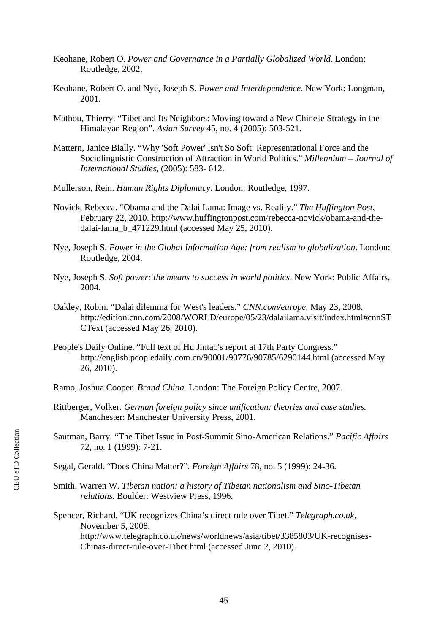- Keohane, Robert O. *Power and Governance in a Partially Globalized World*. London: Routledge, 2002.
- Keohane, Robert O. and Nye, Joseph S. *Power and Interdependence.* New York: Longman, 2001.
- Mathou, Thierry. "Tibet and Its Neighbors: Moving toward a New Chinese Strategy in the Himalayan Region". *Asian Survey* 45, no. 4 (2005): 503-521.
- Mattern, Janice Bially. "Why 'Soft Power' Isn't So Soft: Representational Force and the Sociolinguistic Construction of Attraction in World Politics." *Millennium – Journal of International Studies*, (2005): 583- 612.
- Mullerson, Rein. *Human Rights Diplomacy*. London: Routledge, 1997.
- Novick, Rebecca. "Obama and the Dalai Lama: Image vs. Reality." *The Huffington Post*, February 22, 2010. [http://www.huffingtonpost.com/rebecca-novick/obama-and-the](http://www.huffingtonpost.com/rebecca-novick/obama-and-the-dalai-lama_b_471229.html)dalai-lama  $b$  471229.html (accessed May 25, 2010).
- Nye, Joseph S. *Power in the Global Information Age: from realism to globalization*. London: Routledge, 2004.
- Nye, Joseph S. *Soft power: the means to success in world politics*. New York: Public Affairs, 2004.
- Oakley, Robin. "Dalai dilemma for West's leaders." *CNN.com/europe*, May 23, 2008. [http://edition.cnn.com/2008/WORLD/europe/05/23/dalailama.visit/index.html#cnnST](http://edition.cnn.com/2008/WORLD/europe/05/23/dalailama.visit/index.html#cnnSTCText) [CText](http://edition.cnn.com/2008/WORLD/europe/05/23/dalailama.visit/index.html#cnnSTCText) (accessed May 26, 2010).
- People's Daily Online. "Full text of Hu Jintao's report at 17th Party Congress." <http://english.peopledaily.com.cn/90001/90776/90785/6290144.html>(accessed May 26, 2010).
- Ramo, Joshua Cooper. *Brand China*. London: The Foreign Policy Centre, 2007.
- Rittberger, Volker. *German foreign policy since unification: theories and case studies.* Manchester: Manchester University Press, 2001.
- Sautman, Barry. "The Tibet Issue in Post-Summit Sino-American Relations." *Pacific Affairs* 72, no. 1 (1999): 7-21.
- Segal, Gerald. "Does China Matter?". *Foreign Affairs* 78, no. 5 (1999): 24-36.
- Smith, Warren W. *Tibetan nation: a history of Tibetan nationalism and Sino-Tibetan relations.* Boulder: Westview Press, 1996.
- Spencer, Richard. "UK recognizes China's direct rule over Tibet." *Telegraph.co.uk*, November 5, 2008. [http://www.telegraph.co.uk/news/worldnews/asia/tibet/3385803/UK-recognises-](http://www.telegraph.co.uk/news/worldnews/asia/tibet/3385803/UK-recognises-Chinas-direct-rule-over-Tibet.html)[Chinas-direct-rule-over-Tibet.html](http://www.telegraph.co.uk/news/worldnews/asia/tibet/3385803/UK-recognises-Chinas-direct-rule-over-Tibet.html) (accessed June 2, 2010).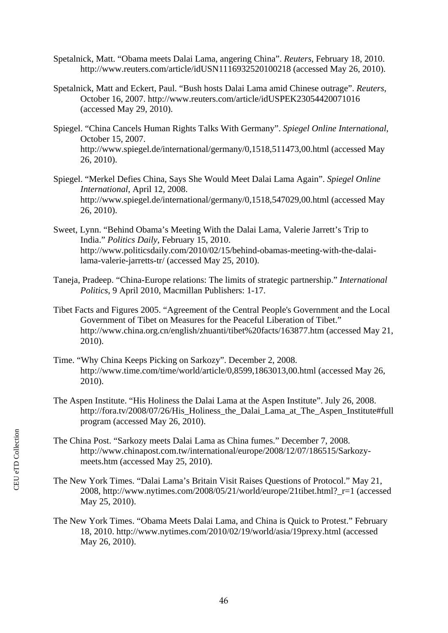- Spetalnick, Matt. "Obama meets Dalai Lama, angering China". *Reuters*, February 18, 2010. <http://www.reuters.com/article/idUSN1116932520100218>(accessed May 26, 2010).
- Spetalnick, Matt and Eckert, Paul. "Bush hosts Dalai Lama amid Chinese outrage". *Reuters*, October 16, 2007. <http://www.reuters.com/article/idUSPEK23054420071016> (accessed May 29, 2010).
- Spiegel. "China Cancels Human Rights Talks With Germany". *Spiegel Online International*, October 15, 2007. <http://www.spiegel.de/international/germany/0,1518,511473,00.html> (accessed May 26, 2010).
- Spiegel. "Merkel Defies China, Says She Would Meet Dalai Lama Again". *Spiegel Online International*, April 12, 2008. <http://www.spiegel.de/international/germany/0,1518,547029,00.html> (accessed May 26, 2010).
- Sweet, Lynn. "Behind Obama's Meeting With the Dalai Lama, Valerie Jarrett's Trip to India." *Politics Daily*, February 15, 2010. [http://www.politicsdaily.com/2010/02/15/behind-obamas-meeting-with-the-dalai](http://www.politicsdaily.com/2010/02/15/behind-obamas-meeting-with-the-dalai-lama-valerie-jarretts-tr/)[lama-valerie-jarretts-tr/](http://www.politicsdaily.com/2010/02/15/behind-obamas-meeting-with-the-dalai-lama-valerie-jarretts-tr/) (accessed May 25, 2010).
- Taneja, Pradeep. "China-Europe relations: The limits of strategic partnership." *International Politics*, 9 April 2010, Macmillan Publishers: 1-17.
- Tibet Facts and Figures 2005. "Agreement of the Central People's Government and the Local Government of Tibet on Measures for the Peaceful Liberation of Tibet." <http://www.china.org.cn/english/zhuanti/tibet%20facts/163877.htm>(accessed May 21, 2010).
- Time. "Why China Keeps Picking on Sarkozy". December 2, 2008. <http://www.time.com/time/world/article/0,8599,1863013,00.html> (accessed May 26, 2010).
- The Aspen Institute. "His Holiness the Dalai Lama at the Aspen Institute". July 26, 2008. [http://fora.tv/2008/07/26/His\\_Holiness\\_the\\_Dalai\\_Lama\\_at\\_The\\_Aspen\\_Institute#full](http://fora.tv/2008/07/26/His_Holiness_the_Dalai_Lama_at_The_Aspen_Institute#fullprogram) [program](http://fora.tv/2008/07/26/His_Holiness_the_Dalai_Lama_at_The_Aspen_Institute#fullprogram) (accessed May 26, 2010).
- The China Post. "Sarkozy meets Dalai Lama as China fumes." December 7, 2008. [http://www.chinapost.com.tw/international/europe/2008/12/07/186515/Sarkozy](http://www.chinapost.com.tw/international/europe/2008/12/07/186515/Sarkozy-meets.htm)[meets.htm](http://www.chinapost.com.tw/international/europe/2008/12/07/186515/Sarkozy-meets.htm) (accessed May 25, 2010).
- The New York Times. "Dalai Lama's Britain Visit Raises Questions of Protocol." May 21, 2008, [http://www.nytimes.com/2008/05/21/world/europe/21tibet.html?\\_r=1](http://www.nytimes.com/2008/05/21/world/europe/21tibet.html?_r=1) (accessed May 25, 2010).
- The New York Times. "Obama Meets Dalai Lama, and China is Quick to Protest." February 18, 2010. <http://www.nytimes.com/2010/02/19/world/asia/19prexy.html> (accessed May 26, 2010).